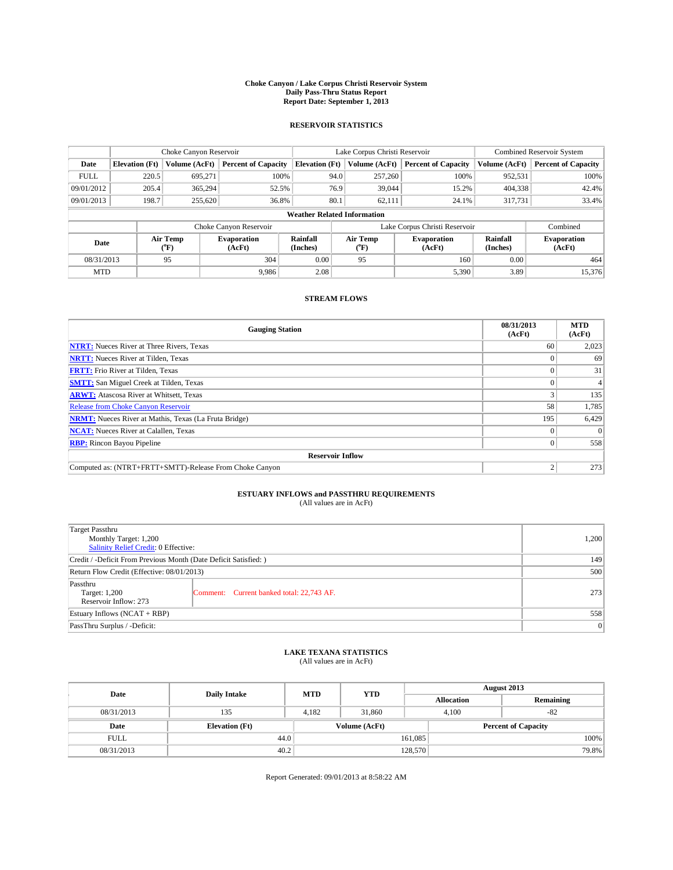### **Choke Canyon / Lake Corpus Christi Reservoir System Daily Pass-Thru Status Report Report Date: September 1, 2013**

### **RESERVOIR STATISTICS**

|                                                                                               |                                    | Choke Canyon Reservoir |                              |                       | Lake Corpus Christi Reservoir | <b>Combined Reservoir System</b> |               |                            |  |
|-----------------------------------------------------------------------------------------------|------------------------------------|------------------------|------------------------------|-----------------------|-------------------------------|----------------------------------|---------------|----------------------------|--|
| Date                                                                                          | <b>Elevation</b> (Ft)              | Volume (AcFt)          | <b>Percent of Capacity</b>   | <b>Elevation (Ft)</b> | Volume (AcFt)                 | <b>Percent of Capacity</b>       | Volume (AcFt) | <b>Percent of Capacity</b> |  |
| <b>FULL</b>                                                                                   | 220.5                              | 695,271                | 100%                         |                       | 257,260<br>94.0               | 100%                             | 952,531       | 100%                       |  |
| 09/01/2012                                                                                    | 205.4                              | 365,294                | 52.5%                        |                       | 76.9<br>39,044                | 15.2%                            | 404,338       | 42.4%                      |  |
| 09/01/2013                                                                                    | 198.7                              | 255,620                | 36.8%                        | 80.1                  | 62,111                        | 24.1%                            | 317,731       | 33.4%                      |  |
|                                                                                               | <b>Weather Related Information</b> |                        |                              |                       |                               |                                  |               |                            |  |
|                                                                                               |                                    |                        | Choke Canyon Reservoir       |                       |                               | Lake Corpus Christi Reservoir    |               | Combined                   |  |
| Rainfall<br>Air Temp<br><b>Evaporation</b><br>Date<br>(Inches)<br>(°F)<br>(AcFt)<br>$(^{o}F)$ |                                    | Air Temp               | <b>Evaporation</b><br>(AcFt) | Rainfall<br>(Inches)  | <b>Evaporation</b><br>(AcFt)  |                                  |               |                            |  |
| 08/31/2013                                                                                    |                                    | 95                     | 304                          | 0.00                  | 95                            | 160                              | 0.00          | 464                        |  |
| <b>MTD</b>                                                                                    |                                    |                        | 9.986                        | 2.08                  |                               | 5,390                            | 3.89          | 15.376                     |  |

## **STREAM FLOWS**

| <b>Gauging Station</b>                                       | 08/31/2013<br>(AcFt) | <b>MTD</b><br>(AcFt) |  |  |  |  |
|--------------------------------------------------------------|----------------------|----------------------|--|--|--|--|
| <b>NTRT:</b> Nueces River at Three Rivers, Texas             | 60                   | 2,023                |  |  |  |  |
| <b>NRTT:</b> Nueces River at Tilden, Texas                   |                      | 69                   |  |  |  |  |
| <b>FRTT:</b> Frio River at Tilden, Texas                     |                      | 31                   |  |  |  |  |
| <b>SMTT:</b> San Miguel Creek at Tilden, Texas               |                      |                      |  |  |  |  |
| <b>ARWT:</b> Atascosa River at Whitsett, Texas               |                      | 135                  |  |  |  |  |
| <b>Release from Choke Canyon Reservoir</b>                   | 58                   | 1,785                |  |  |  |  |
| <b>NRMT:</b> Nueces River at Mathis, Texas (La Fruta Bridge) | 195                  | 6,429                |  |  |  |  |
| <b>NCAT:</b> Nueces River at Calallen, Texas                 |                      | $\Omega$             |  |  |  |  |
| <b>RBP:</b> Rincon Bayou Pipeline                            | $\Omega$             | 558                  |  |  |  |  |
| <b>Reservoir Inflow</b>                                      |                      |                      |  |  |  |  |
| Computed as: (NTRT+FRTT+SMTT)-Release From Choke Canyon      | h                    | 273                  |  |  |  |  |

# **ESTUARY INFLOWS and PASSTHRU REQUIREMENTS**<br>(All values are in AcFt)

| Target Passthru                                                  |                                           |     |
|------------------------------------------------------------------|-------------------------------------------|-----|
| Monthly Target: 1,200<br>Salinity Relief Credit: 0 Effective:    | 1,200                                     |     |
| Credit / -Deficit From Previous Month (Date Deficit Satisfied: ) | 149                                       |     |
| Return Flow Credit (Effective: 08/01/2013)                       | 500                                       |     |
| Passthru<br>Target: 1,200<br>Reservoir Inflow: 273               | Comment: Current banked total: 22,743 AF. | 273 |
| Estuary Inflows (NCAT + RBP)                                     | 558                                       |     |
| PassThru Surplus / -Deficit:                                     | 0                                         |     |

# **LAKE TEXANA STATISTICS** (All values are in AcFt)

| Date        | <b>Daily Intake</b>   | <b>MTD</b> | <b>YTD</b>    | August 2013 |                            |           |  |
|-------------|-----------------------|------------|---------------|-------------|----------------------------|-----------|--|
|             |                       |            |               |             | <b>Allocation</b>          | Remaining |  |
| 08/31/2013  | 135                   | 4.182      | 31,860        |             | 4.100<br>$-82$             |           |  |
| Date        | <b>Elevation</b> (Ft) |            | Volume (AcFt) |             | <b>Percent of Capacity</b> |           |  |
| <b>FULL</b> | 44.0                  |            |               | 161,085     |                            | 100%      |  |
| 08/31/2013  | 40.2                  |            |               | 128,570     |                            | 79.8%     |  |

Report Generated: 09/01/2013 at 8:58:22 AM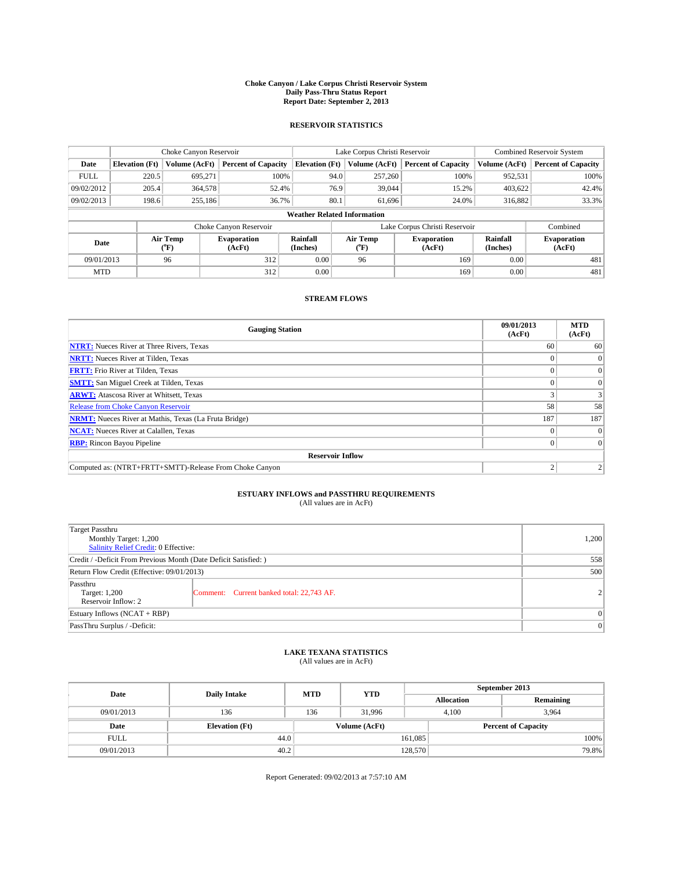### **Choke Canyon / Lake Corpus Christi Reservoir System Daily Pass-Thru Status Report Report Date: September 2, 2013**

### **RESERVOIR STATISTICS**

|             | Choke Canyon Reservoir             |                  |                              |                       | Lake Corpus Christi Reservoir | <b>Combined Reservoir System</b> |               |                              |  |
|-------------|------------------------------------|------------------|------------------------------|-----------------------|-------------------------------|----------------------------------|---------------|------------------------------|--|
| Date        | <b>Elevation</b> (Ft)              | Volume (AcFt)    | <b>Percent of Capacity</b>   | <b>Elevation (Ft)</b> | Volume (AcFt)                 | <b>Percent of Capacity</b>       | Volume (AcFt) | <b>Percent of Capacity</b>   |  |
| <b>FULL</b> | 220.5                              | 695,271          | 100%                         | 94.0                  | 257,260                       | 100%                             | 952,531       | 100%                         |  |
| 09/02/2012  | 205.4                              | 364,578          | 52.4%                        | 76.9                  | 39,044                        | 15.2%                            | 403,622       | 42.4%                        |  |
| 09/02/2013  | 198.6                              | 255,186          | 36.7%                        | 80.1                  | 61.696                        | 24.0%                            | 316,882       | 33.3%                        |  |
|             | <b>Weather Related Information</b> |                  |                              |                       |                               |                                  |               |                              |  |
|             |                                    |                  | Choke Canyon Reservoir       |                       |                               | Lake Corpus Christi Reservoir    |               | Combined                     |  |
| Date        |                                    | Air Temp<br>(°F) | <b>Evaporation</b><br>(AcFt) | Rainfall<br>(Inches)  | Air Temp<br>("F)              | <b>Evaporation</b><br>(AcFt)     |               | <b>Evaporation</b><br>(AcFt) |  |
| 09/01/2013  |                                    | 96               | 312                          |                       | 96                            | 169                              | 0.00          | 481                          |  |
| <b>MTD</b>  |                                    |                  | 312                          | 0.00                  |                               | 169                              | 0.00          | 481                          |  |

### **STREAM FLOWS**

| <b>Gauging Station</b>                                       | 09/01/2013<br>(AcFt) | <b>MTD</b><br>(AcFt) |  |  |  |  |
|--------------------------------------------------------------|----------------------|----------------------|--|--|--|--|
| <b>NTRT:</b> Nueces River at Three Rivers, Texas             | 60                   | 60                   |  |  |  |  |
| <b>NRTT:</b> Nueces River at Tilden, Texas                   |                      | $\Omega$             |  |  |  |  |
| <b>FRTT:</b> Frio River at Tilden, Texas                     |                      | $\overline{0}$       |  |  |  |  |
| <b>SMTT:</b> San Miguel Creek at Tilden, Texas               |                      | $\Omega$             |  |  |  |  |
| <b>ARWT:</b> Atascosa River at Whitsett, Texas               |                      |                      |  |  |  |  |
| <b>Release from Choke Canyon Reservoir</b>                   | 58                   | 58                   |  |  |  |  |
| <b>NRMT:</b> Nueces River at Mathis, Texas (La Fruta Bridge) | 187                  | 187                  |  |  |  |  |
| <b>NCAT:</b> Nueces River at Calallen, Texas                 |                      | $\Omega$             |  |  |  |  |
| <b>RBP:</b> Rincon Bayou Pipeline                            |                      | $\Omega$             |  |  |  |  |
| <b>Reservoir Inflow</b>                                      |                      |                      |  |  |  |  |
| Computed as: (NTRT+FRTT+SMTT)-Release From Choke Canyon      | σ                    |                      |  |  |  |  |

# **ESTUARY INFLOWS and PASSTHRU REQUIREMENTS**<br>(All values are in AcFt)

| Target Passthru<br>Monthly Target: 1,200<br>Salinity Relief Credit: 0 Effective: |                                           |                |  |  |
|----------------------------------------------------------------------------------|-------------------------------------------|----------------|--|--|
| Credit / -Deficit From Previous Month (Date Deficit Satisfied: )                 |                                           |                |  |  |
| Return Flow Credit (Effective: 09/01/2013)                                       |                                           |                |  |  |
| Passthru<br>Target: 1,200<br>Reservoir Inflow: 2                                 | Comment: Current banked total: 22,743 AF. | 2 <sup>1</sup> |  |  |
| Estuary Inflows (NCAT + RBP)                                                     |                                           |                |  |  |
| PassThru Surplus / -Deficit:                                                     | 0                                         |                |  |  |

# **LAKE TEXANA STATISTICS** (All values are in AcFt)

| Date        | <b>Daily Intake</b>   | <b>MTD</b> | <b>YTD</b>    | September 2013 |                            |           |  |
|-------------|-----------------------|------------|---------------|----------------|----------------------------|-----------|--|
|             |                       |            |               |                | <b>Allocation</b>          | Remaining |  |
| 09/01/2013  | 136                   | 136        | 31.996        |                | 4,100<br>3.964             |           |  |
| Date        | <b>Elevation</b> (Ft) |            | Volume (AcFt) |                | <b>Percent of Capacity</b> |           |  |
| <b>FULL</b> | 44.0                  |            |               | 161,085        |                            | 100%      |  |
| 09/01/2013  | 40.2                  |            |               | 128,570        |                            | 79.8%     |  |

Report Generated: 09/02/2013 at 7:57:10 AM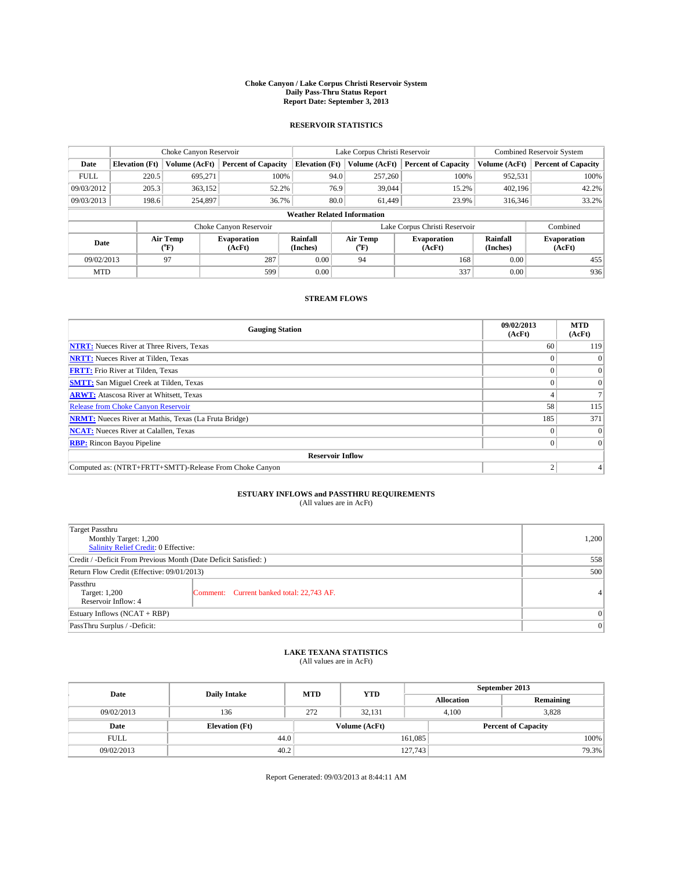### **Choke Canyon / Lake Corpus Christi Reservoir System Daily Pass-Thru Status Report Report Date: September 3, 2013**

### **RESERVOIR STATISTICS**

|              |                                    | Choke Canyon Reservoir |                              |                       | Lake Corpus Christi Reservoir | Combined Reservoir System     |                      |                              |  |
|--------------|------------------------------------|------------------------|------------------------------|-----------------------|-------------------------------|-------------------------------|----------------------|------------------------------|--|
| Date         | <b>Elevation</b> (Ft)              | Volume (AcFt)          | <b>Percent of Capacity</b>   | <b>Elevation (Ft)</b> | Volume (AcFt)                 | <b>Percent of Capacity</b>    | Volume (AcFt)        | <b>Percent of Capacity</b>   |  |
| <b>FULL</b>  | 220.5                              | 695,271                | 100%                         | 94.0                  | 257,260                       | 100%                          | 952,531              | 100%                         |  |
| 09/03/2012   | 205.3                              | 363,152                | 52.2%                        | 76.9                  | 39,044                        | 15.2%                         | 402,196              | 42.2%                        |  |
| 09/03/2013   | 198.6                              | 254,897                | 36.7%                        | 80.0                  | 61.449                        | 23.9%                         | 316,346              | 33.2%                        |  |
|              | <b>Weather Related Information</b> |                        |                              |                       |                               |                               |                      |                              |  |
|              |                                    |                        | Choke Canyon Reservoir       |                       |                               | Lake Corpus Christi Reservoir |                      | Combined                     |  |
| Date<br>(°F) |                                    | Air Temp               | <b>Evaporation</b><br>(AcFt) | Rainfall<br>(Inches)  | Air Temp<br>(°F)              | <b>Evaporation</b><br>(AcFt)  | Rainfall<br>(Inches) | <b>Evaporation</b><br>(AcFt) |  |
| 09/02/2013   |                                    | 97                     | 287                          | 0.00                  | 94                            | 168                           | 0.00                 | 455                          |  |
| <b>MTD</b>   |                                    |                        | 599                          | 0.00                  |                               | 337                           | 0.00                 | 936                          |  |

## **STREAM FLOWS**

| <b>Gauging Station</b>                                       | 09/02/2013<br>(AcFt) | <b>MTD</b><br>(AcFt) |  |  |  |  |
|--------------------------------------------------------------|----------------------|----------------------|--|--|--|--|
| <b>NTRT:</b> Nueces River at Three Rivers, Texas             | 60                   | 119                  |  |  |  |  |
| <b>NRTT:</b> Nueces River at Tilden, Texas                   |                      |                      |  |  |  |  |
| <b>FRTT:</b> Frio River at Tilden, Texas                     |                      | $\overline{0}$       |  |  |  |  |
| <b>SMTT:</b> San Miguel Creek at Tilden, Texas               |                      | $\Omega$             |  |  |  |  |
| <b>ARWT:</b> Atascosa River at Whitsett, Texas               |                      |                      |  |  |  |  |
| <b>Release from Choke Canyon Reservoir</b>                   | 58                   | 115                  |  |  |  |  |
| <b>NRMT:</b> Nueces River at Mathis, Texas (La Fruta Bridge) | 185                  | 371                  |  |  |  |  |
| <b>NCAT:</b> Nueces River at Calallen, Texas                 |                      | $\Omega$             |  |  |  |  |
| <b>RBP:</b> Rincon Bayou Pipeline                            |                      | $\Omega$             |  |  |  |  |
| <b>Reservoir Inflow</b>                                      |                      |                      |  |  |  |  |
| Computed as: (NTRT+FRTT+SMTT)-Release From Choke Canyon      |                      |                      |  |  |  |  |

# **ESTUARY INFLOWS and PASSTHRU REQUIREMENTS**<br>(All values are in AcFt)

| Target Passthru<br>Monthly Target: 1,200<br>Salinity Relief Credit: 0 Effective: | 1,200                                     |                |
|----------------------------------------------------------------------------------|-------------------------------------------|----------------|
| Credit / -Deficit From Previous Month (Date Deficit Satisfied: )                 | 558                                       |                |
| Return Flow Credit (Effective: 09/01/2013)                                       | 500                                       |                |
| Passthru<br>Target: 1,200<br>Reservoir Inflow: 4                                 | Comment: Current banked total: 22,743 AF. | 4 <sup>1</sup> |
| Estuary Inflows (NCAT + RBP)                                                     | $\Omega$                                  |                |
| PassThru Surplus / -Deficit:                                                     | 0                                         |                |

# **LAKE TEXANA STATISTICS** (All values are in AcFt)

| Date        | <b>Daily Intake</b>   | <b>MTD</b> | <b>YTD</b>    | September 2013    |                            |  |  |
|-------------|-----------------------|------------|---------------|-------------------|----------------------------|--|--|
|             |                       |            |               | <b>Allocation</b> | Remaining                  |  |  |
| 09/02/2013  | 136                   | 272        | 32,131        | 4,100             | 3,828                      |  |  |
| Date        | <b>Elevation</b> (Ft) |            | Volume (AcFt) |                   | <b>Percent of Capacity</b> |  |  |
| <b>FULL</b> | 44.0                  |            |               | 161,085           | 100%                       |  |  |
| 09/02/2013  | 40.2                  |            |               | 127,743           | 79.3%                      |  |  |

Report Generated: 09/03/2013 at 8:44:11 AM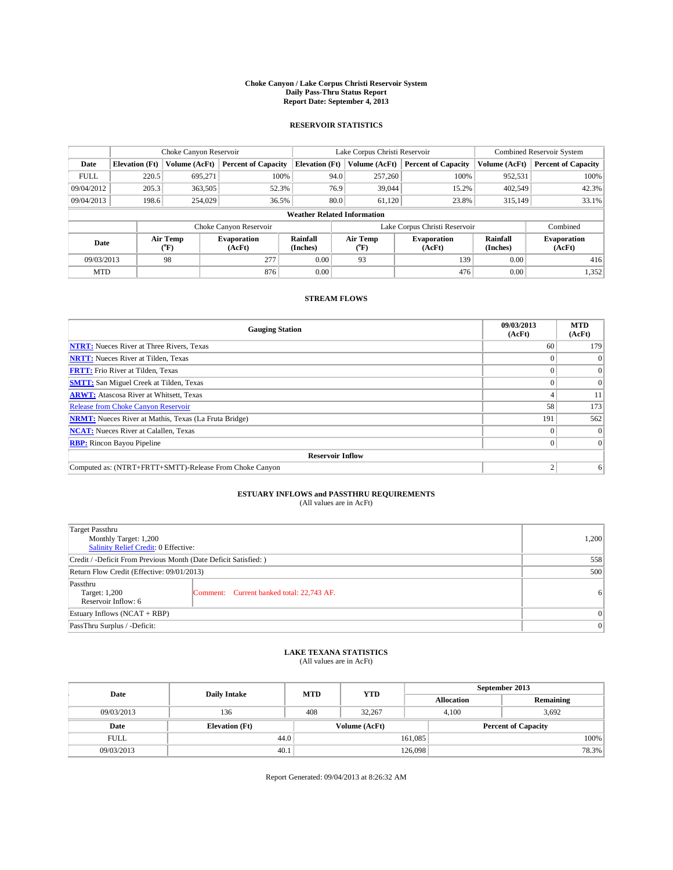### **Choke Canyon / Lake Corpus Christi Reservoir System Daily Pass-Thru Status Report Report Date: September 4, 2013**

### **RESERVOIR STATISTICS**

|             |                                    | Choke Canyon Reservoir |                              |                       | Lake Corpus Christi Reservoir | <b>Combined Reservoir System</b> |                      |                              |  |
|-------------|------------------------------------|------------------------|------------------------------|-----------------------|-------------------------------|----------------------------------|----------------------|------------------------------|--|
| Date        | <b>Elevation</b> (Ft)              | Volume (AcFt)          | <b>Percent of Capacity</b>   | <b>Elevation (Ft)</b> | Volume (AcFt)                 | <b>Percent of Capacity</b>       | Volume (AcFt)        | <b>Percent of Capacity</b>   |  |
| <b>FULL</b> | 220.5                              | 695.271                | 100%                         | 94.0                  | 257,260                       | 100%                             | 952,531              | 100%                         |  |
| 09/04/2012  | 205.3                              | 363,505                | 52.3%                        | 76.9                  | 39,044                        | 15.2%                            | 402,549              | 42.3%                        |  |
| 09/04/2013  | 198.6                              | 254,029                | 36.5%                        | 80.0                  | 61.120                        | 23.8%                            | 315,149              | 33.1%                        |  |
|             | <b>Weather Related Information</b> |                        |                              |                       |                               |                                  |                      |                              |  |
|             |                                    |                        | Choke Canyon Reservoir       |                       | Lake Corpus Christi Reservoir |                                  | Combined             |                              |  |
| Date        |                                    | Air Temp<br>(°F)       | <b>Evaporation</b><br>(AcFt) | Rainfall<br>(Inches)  | Air Temp<br>$(^{o}F)$         | <b>Evaporation</b><br>(AcFt)     | Rainfall<br>(Inches) | <b>Evaporation</b><br>(AcFt) |  |
| 09/03/2013  |                                    | 98                     | 277                          | 0.00                  | 93                            | 139                              | 0.00                 | 416                          |  |
| <b>MTD</b>  |                                    |                        | 876                          | 0.00                  |                               | 476                              | 0.00                 | 1,352                        |  |

## **STREAM FLOWS**

| <b>Gauging Station</b>                                       | 09/03/2013<br>(AcFt) | <b>MTD</b><br>(AcFt) |  |  |  |  |  |
|--------------------------------------------------------------|----------------------|----------------------|--|--|--|--|--|
| <b>NTRT:</b> Nueces River at Three Rivers, Texas             | 60                   | 179                  |  |  |  |  |  |
| <b>NRTT:</b> Nueces River at Tilden, Texas                   |                      |                      |  |  |  |  |  |
| <b>FRTT:</b> Frio River at Tilden, Texas                     |                      | $\overline{0}$       |  |  |  |  |  |
| <b>SMTT:</b> San Miguel Creek at Tilden, Texas               |                      | $\Omega$             |  |  |  |  |  |
| <b>ARWT:</b> Atascosa River at Whitsett, Texas               |                      | 11                   |  |  |  |  |  |
| <b>Release from Choke Canyon Reservoir</b>                   | 58                   | 173                  |  |  |  |  |  |
| <b>NRMT:</b> Nueces River at Mathis, Texas (La Fruta Bridge) | 191                  | 562                  |  |  |  |  |  |
| <b>NCAT:</b> Nueces River at Calallen, Texas                 |                      | $\Omega$             |  |  |  |  |  |
| <b>RBP:</b> Rincon Bayou Pipeline                            |                      | $\Omega$             |  |  |  |  |  |
| <b>Reservoir Inflow</b>                                      |                      |                      |  |  |  |  |  |
| Computed as: (NTRT+FRTT+SMTT)-Release From Choke Canyon      |                      | 6                    |  |  |  |  |  |

# **ESTUARY INFLOWS and PASSTHRU REQUIREMENTS**<br>(All values are in AcFt)

| Target Passthru<br>Monthly Target: 1,200<br>Salinity Relief Credit: 0 Effective: |                                           |   |  |  |
|----------------------------------------------------------------------------------|-------------------------------------------|---|--|--|
| Credit / -Deficit From Previous Month (Date Deficit Satisfied: )                 |                                           |   |  |  |
| Return Flow Credit (Effective: 09/01/2013)                                       |                                           |   |  |  |
| Passthru<br>Target: 1,200<br>Reservoir Inflow: 6                                 | Comment: Current banked total: 22,743 AF. | 6 |  |  |
| Estuary Inflows (NCAT + RBP)                                                     |                                           |   |  |  |
| PassThru Surplus / -Deficit:                                                     | 0                                         |   |  |  |

## **LAKE TEXANA STATISTICS** (All values are in AcFt)

| Date        | <b>Daily Intake</b>   | <b>MTD</b>    | <b>YTD</b> | September 2013    |                            |           |       |
|-------------|-----------------------|---------------|------------|-------------------|----------------------------|-----------|-------|
|             |                       |               |            | <b>Allocation</b> |                            | Remaining |       |
| 09/03/2013  | 136                   | 408           | 32,267     |                   | 3.692<br>4.100             |           |       |
| Date        | <b>Elevation</b> (Ft) | Volume (AcFt) |            |                   | <b>Percent of Capacity</b> |           |       |
| <b>FULL</b> | 44.0                  |               |            | 161,085           |                            |           | 100%  |
| 09/03/2013  | 40.1                  |               |            | 126,098           |                            |           | 78.3% |

Report Generated: 09/04/2013 at 8:26:32 AM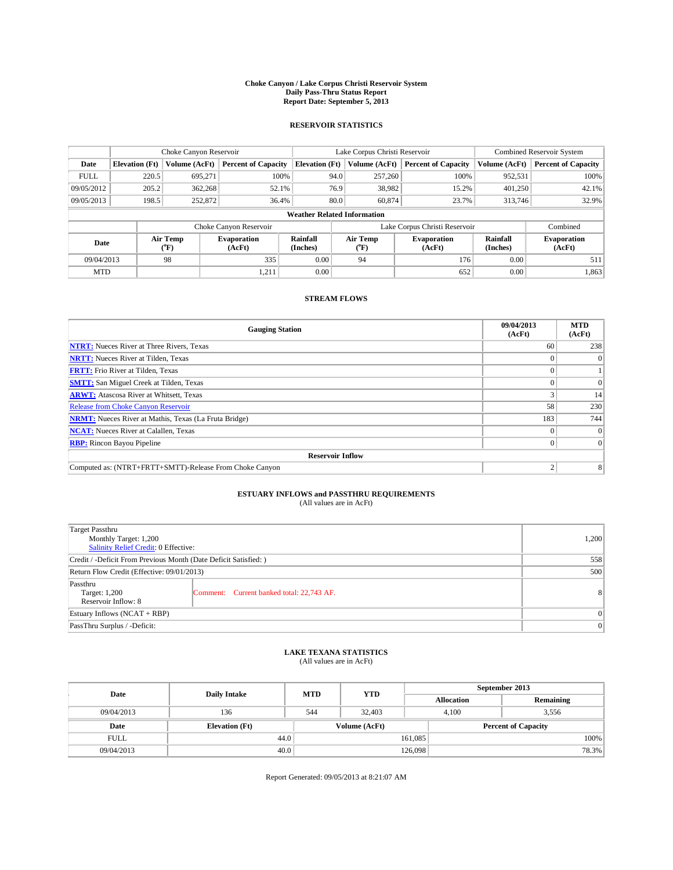### **Choke Canyon / Lake Corpus Christi Reservoir System Daily Pass-Thru Status Report Report Date: September 5, 2013**

### **RESERVOIR STATISTICS**

|             |                       | Choke Canyon Reservoir |                              |                                    | Lake Corpus Christi Reservoir             | <b>Combined Reservoir System</b> |                      |                              |  |
|-------------|-----------------------|------------------------|------------------------------|------------------------------------|-------------------------------------------|----------------------------------|----------------------|------------------------------|--|
| Date        | <b>Elevation</b> (Ft) | Volume (AcFt)          | <b>Percent of Capacity</b>   | <b>Elevation (Ft)</b>              | Volume (AcFt)                             | <b>Percent of Capacity</b>       | Volume (AcFt)        | <b>Percent of Capacity</b>   |  |
| <b>FULL</b> | 220.5                 | 695.271                | 100%                         | 94.0                               | 257,260                                   | 100%                             | 952,531              | 100%                         |  |
| 09/05/2012  | 205.2                 | 362,268                | 52.1%                        | 76.9                               | 38,982                                    | 15.2%                            | 401,250              | 42.1%                        |  |
| 09/05/2013  | 198.5                 | 252,872                | 36.4%                        | 80.0                               | 60,874                                    | 23.7%                            | 313,746              | 32.9%                        |  |
|             |                       |                        |                              | <b>Weather Related Information</b> |                                           |                                  |                      |                              |  |
|             |                       |                        | Choke Canyon Reservoir       |                                    | Lake Corpus Christi Reservoir<br>Combined |                                  |                      |                              |  |
| Date        |                       | Air Temp<br>(°F)       | <b>Evaporation</b><br>(AcFt) | Rainfall<br>(Inches)               | Air Temp<br>$(^{o}F)$                     | <b>Evaporation</b><br>(AcFt)     | Rainfall<br>(Inches) | <b>Evaporation</b><br>(AcFt) |  |
| 09/04/2013  |                       | 98                     | 335                          | 0.00                               | 94                                        | 176                              | 0.00                 | 511                          |  |
| <b>MTD</b>  |                       |                        | 1,211                        | 0.00                               |                                           | 652                              | 0.00                 | 1,863                        |  |

## **STREAM FLOWS**

| <b>Gauging Station</b>                                       | 09/04/2013<br>(AcFt) | <b>MTD</b><br>(AcFt) |  |  |  |  |  |
|--------------------------------------------------------------|----------------------|----------------------|--|--|--|--|--|
| <b>NTRT:</b> Nueces River at Three Rivers, Texas             | 60                   | 238                  |  |  |  |  |  |
| <b>NRTT:</b> Nueces River at Tilden, Texas                   |                      |                      |  |  |  |  |  |
| <b>FRTT:</b> Frio River at Tilden, Texas                     |                      |                      |  |  |  |  |  |
| <b>SMTT:</b> San Miguel Creek at Tilden, Texas               |                      | $\Omega$             |  |  |  |  |  |
| <b>ARWT:</b> Atascosa River at Whitsett, Texas               |                      | 14                   |  |  |  |  |  |
| <b>Release from Choke Canyon Reservoir</b>                   | 58                   | 230                  |  |  |  |  |  |
| <b>NRMT:</b> Nueces River at Mathis, Texas (La Fruta Bridge) | 183                  | 744                  |  |  |  |  |  |
| <b>NCAT:</b> Nueces River at Calallen, Texas                 |                      | $\Omega$             |  |  |  |  |  |
| <b>RBP:</b> Rincon Bayou Pipeline                            |                      | $\Omega$             |  |  |  |  |  |
| <b>Reservoir Inflow</b>                                      |                      |                      |  |  |  |  |  |
| Computed as: (NTRT+FRTT+SMTT)-Release From Choke Canyon      | h                    | 8                    |  |  |  |  |  |

# **ESTUARY INFLOWS and PASSTHRU REQUIREMENTS**<br>(All values are in AcFt)

| Target Passthru<br>Monthly Target: 1,200<br>Salinity Relief Credit: 0 Effective: |                                           |                |  |  |
|----------------------------------------------------------------------------------|-------------------------------------------|----------------|--|--|
| Credit / -Deficit From Previous Month (Date Deficit Satisfied: )                 |                                           |                |  |  |
| Return Flow Credit (Effective: 09/01/2013)                                       |                                           |                |  |  |
| Passthru<br>Target: 1,200<br>Reservoir Inflow: 8                                 | Comment: Current banked total: 22,743 AF. | 8 <sup>1</sup> |  |  |
| Estuary Inflows (NCAT + RBP)                                                     |                                           |                |  |  |
| PassThru Surplus / -Deficit:                                                     | 0                                         |                |  |  |

## **LAKE TEXANA STATISTICS** (All values are in AcFt)

| Date        | <b>Daily Intake</b>   | <b>MTD</b> | <b>YTD</b>    | September 2013    |                |                            |       |  |
|-------------|-----------------------|------------|---------------|-------------------|----------------|----------------------------|-------|--|
|             |                       |            |               | <b>Allocation</b> |                | Remaining                  |       |  |
| 09/04/2013  | 136                   | 544        | 32,403        |                   | 4.100<br>3.556 |                            |       |  |
| Date        | <b>Elevation</b> (Ft) |            | Volume (AcFt) |                   |                | <b>Percent of Capacity</b> |       |  |
| <b>FULL</b> | 44.0                  |            |               | 161,085           |                |                            | 100%  |  |
| 09/04/2013  | 40.0                  |            |               | 126,098           |                |                            | 78.3% |  |

Report Generated: 09/05/2013 at 8:21:07 AM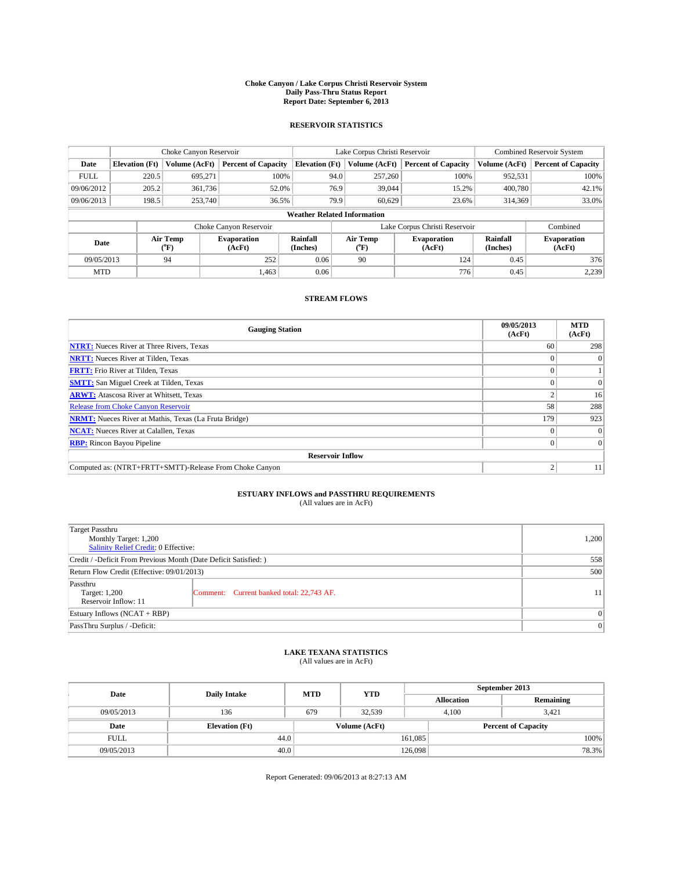### **Choke Canyon / Lake Corpus Christi Reservoir System Daily Pass-Thru Status Report Report Date: September 6, 2013**

### **RESERVOIR STATISTICS**

|             |                       | Choke Canyon Reservoir |                              |                                    | Lake Corpus Christi Reservoir             | <b>Combined Reservoir System</b> |                      |                              |  |
|-------------|-----------------------|------------------------|------------------------------|------------------------------------|-------------------------------------------|----------------------------------|----------------------|------------------------------|--|
| Date        | <b>Elevation</b> (Ft) | Volume (AcFt)          | <b>Percent of Capacity</b>   | <b>Elevation (Ft)</b>              | Volume (AcFt)                             | <b>Percent of Capacity</b>       | Volume (AcFt)        | <b>Percent of Capacity</b>   |  |
| <b>FULL</b> | 220.5                 | 695,271                | 100%                         | 94.0                               | 257,260                                   | 100%                             | 952,531              | 100%                         |  |
| 09/06/2012  | 205.2                 | 361,736                | 52.0%                        | 76.9                               | 39,044                                    | 15.2%                            | 400,780              | 42.1%                        |  |
| 09/06/2013  | 198.5                 | 253,740                | 36.5%                        | 79.9                               | 60.629                                    | 23.6%                            | 314,369              | 33.0%                        |  |
|             |                       |                        |                              | <b>Weather Related Information</b> |                                           |                                  |                      |                              |  |
|             |                       |                        | Choke Canyon Reservoir       |                                    | Lake Corpus Christi Reservoir<br>Combined |                                  |                      |                              |  |
| Date        |                       | Air Temp<br>(°F)       | <b>Evaporation</b><br>(AcFt) | Rainfall<br>(Inches)               | Air Temp<br>$(^{o}F)$                     | <b>Evaporation</b><br>(AcFt)     | Rainfall<br>(Inches) | <b>Evaporation</b><br>(AcFt) |  |
| 09/05/2013  |                       | 94                     | 252                          | 0.06                               | 90                                        | 124                              | 0.45                 | 376                          |  |
| <b>MTD</b>  |                       |                        | 1.463                        | 0.06                               |                                           | 776                              | 0.45                 | 2,239                        |  |

## **STREAM FLOWS**

| <b>Gauging Station</b>                                       | 09/05/2013<br>(AcFt) | <b>MTD</b><br>(AcFt) |  |  |  |  |  |
|--------------------------------------------------------------|----------------------|----------------------|--|--|--|--|--|
| <b>NTRT:</b> Nueces River at Three Rivers, Texas             | 60                   | 298                  |  |  |  |  |  |
| <b>NRTT:</b> Nueces River at Tilden, Texas                   |                      |                      |  |  |  |  |  |
| <b>FRTT:</b> Frio River at Tilden, Texas                     |                      |                      |  |  |  |  |  |
| <b>SMTT:</b> San Miguel Creek at Tilden, Texas               |                      | $\Omega$             |  |  |  |  |  |
| <b>ARWT:</b> Atascosa River at Whitsett, Texas               |                      | 16                   |  |  |  |  |  |
| <b>Release from Choke Canyon Reservoir</b>                   | 58                   | 288                  |  |  |  |  |  |
| <b>NRMT:</b> Nueces River at Mathis, Texas (La Fruta Bridge) | 179                  | 923                  |  |  |  |  |  |
| <b>NCAT:</b> Nueces River at Calallen, Texas                 |                      | $\Omega$             |  |  |  |  |  |
| <b>RBP:</b> Rincon Bayou Pipeline                            |                      | $\Omega$             |  |  |  |  |  |
| <b>Reservoir Inflow</b>                                      |                      |                      |  |  |  |  |  |
| Computed as: (NTRT+FRTT+SMTT)-Release From Choke Canyon      | h                    | 11                   |  |  |  |  |  |

# **ESTUARY INFLOWS and PASSTHRU REQUIREMENTS**<br>(All values are in AcFt)

| Target Passthru<br>Monthly Target: 1,200<br>Salinity Relief Credit: 0 Effective: |                                           |    |  |  |
|----------------------------------------------------------------------------------|-------------------------------------------|----|--|--|
| Credit / -Deficit From Previous Month (Date Deficit Satisfied: )                 | 558                                       |    |  |  |
| Return Flow Credit (Effective: 09/01/2013)                                       |                                           |    |  |  |
| Passthru<br>Target: 1,200<br>Reservoir Inflow: 11                                | Comment: Current banked total: 22,743 AF. | 11 |  |  |
| Estuary Inflows (NCAT + RBP)                                                     |                                           |    |  |  |
| PassThru Surplus / -Deficit:                                                     | 0                                         |    |  |  |

# **LAKE TEXANA STATISTICS** (All values are in AcFt)

| Date        | <b>Daily Intake</b>   | <b>MTD</b>    | <b>YTD</b> | September 2013    |                            |           |       |  |
|-------------|-----------------------|---------------|------------|-------------------|----------------------------|-----------|-------|--|
|             |                       |               |            | <b>Allocation</b> |                            | Remaining |       |  |
| 09/05/2013  | 136                   | 679           | 32.539     |                   | 4.100<br>3.421             |           |       |  |
| Date        | <b>Elevation</b> (Ft) | Volume (AcFt) |            |                   | <b>Percent of Capacity</b> |           |       |  |
| <b>FULL</b> | 44.0                  |               |            | 161,085           |                            |           | 100%  |  |
| 09/05/2013  | 40.0                  |               |            | 126,098           |                            |           | 78.3% |  |

Report Generated: 09/06/2013 at 8:27:13 AM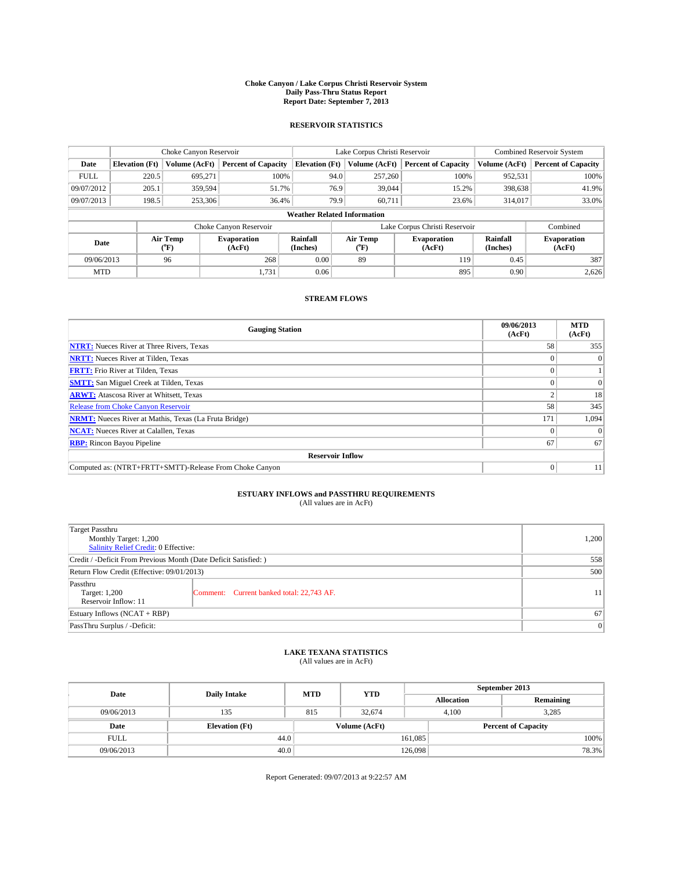### **Choke Canyon / Lake Corpus Christi Reservoir System Daily Pass-Thru Status Report Report Date: September 7, 2013**

### **RESERVOIR STATISTICS**

|             |                       | Choke Canyon Reservoir |                              |                                    | Lake Corpus Christi Reservoir               | <b>Combined Reservoir System</b> |                      |                              |
|-------------|-----------------------|------------------------|------------------------------|------------------------------------|---------------------------------------------|----------------------------------|----------------------|------------------------------|
| Date        | <b>Elevation</b> (Ft) | Volume (AcFt)          | <b>Percent of Capacity</b>   | <b>Elevation (Ft)</b>              | <b>Percent of Capacity</b><br>Volume (AcFt) |                                  | Volume (AcFt)        | <b>Percent of Capacity</b>   |
| <b>FULL</b> | 220.5                 | 695.271                | 100%                         | 94.0                               | 257,260                                     | 100%                             | 952,531              | 100%                         |
| 09/07/2012  | 205.1                 | 359,594                | 51.7%                        | 76.9                               | 39,044                                      | 15.2%                            | 398,638              | 41.9%                        |
| 09/07/2013  | 198.5                 | 253,306                | 36.4%                        | 79.9                               | 60.711                                      | 23.6%                            | 314,017              | 33.0%                        |
|             |                       |                        |                              | <b>Weather Related Information</b> |                                             |                                  |                      |                              |
|             |                       |                        | Choke Canyon Reservoir       |                                    | Lake Corpus Christi Reservoir               | Combined                         |                      |                              |
| Date        |                       | Air Temp<br>(°F)       | <b>Evaporation</b><br>(AcFt) | Rainfall<br>(Inches)               | Air Temp<br>$(^{o}F)$                       | Evaporation<br>(AcFt)            | Rainfall<br>(Inches) | <b>Evaporation</b><br>(AcFt) |
| 09/06/2013  |                       | 96                     | 268                          | 0.00                               | 89                                          | 119                              | 0.45                 | 387                          |
| <b>MTD</b>  |                       |                        | 1,731                        | 0.06                               |                                             | 895                              | 0.90                 | 2,626                        |

## **STREAM FLOWS**

| <b>Gauging Station</b>                                       | 09/06/2013<br>(AcFt) | <b>MTD</b><br>(AcFt) |  |  |  |  |
|--------------------------------------------------------------|----------------------|----------------------|--|--|--|--|
| <b>NTRT:</b> Nueces River at Three Rivers, Texas             | 58                   | 355                  |  |  |  |  |
| <b>NRTT:</b> Nueces River at Tilden, Texas                   |                      |                      |  |  |  |  |
| <b>FRTT:</b> Frio River at Tilden, Texas                     |                      |                      |  |  |  |  |
| <b>SMTT:</b> San Miguel Creek at Tilden, Texas               |                      | $\Omega$             |  |  |  |  |
| <b>ARWT:</b> Atascosa River at Whitsett, Texas               |                      | 18                   |  |  |  |  |
| <b>Release from Choke Canyon Reservoir</b>                   | 58                   | 345                  |  |  |  |  |
| <b>NRMT:</b> Nueces River at Mathis, Texas (La Fruta Bridge) | 171                  | 1,094                |  |  |  |  |
| <b>NCAT:</b> Nueces River at Calallen, Texas                 |                      | $\Omega$             |  |  |  |  |
| <b>RBP:</b> Rincon Bayou Pipeline                            | 67                   | 67                   |  |  |  |  |
| <b>Reservoir Inflow</b>                                      |                      |                      |  |  |  |  |
| Computed as: (NTRT+FRTT+SMTT)-Release From Choke Canyon      | 0                    | 11                   |  |  |  |  |

# **ESTUARY INFLOWS and PASSTHRU REQUIREMENTS**<br>(All values are in AcFt)

| Target Passthru                                                  |       |  |  |  |
|------------------------------------------------------------------|-------|--|--|--|
| Monthly Target: 1,200                                            | 1,200 |  |  |  |
| Salinity Relief Credit: 0 Effective:                             |       |  |  |  |
| Credit / -Deficit From Previous Month (Date Deficit Satisfied: ) | 558   |  |  |  |
| Return Flow Credit (Effective: 09/01/2013)                       | 500   |  |  |  |
| Passthru                                                         |       |  |  |  |
| Target: 1,200<br>Comment: Current banked total: 22,743 AF.       | 11    |  |  |  |
| Reservoir Inflow: 11                                             |       |  |  |  |
| Estuary Inflows (NCAT + RBP)                                     | 67    |  |  |  |
| PassThru Surplus / -Deficit:                                     | 0     |  |  |  |

# **LAKE TEXANA STATISTICS** (All values are in AcFt)

| Date        | <b>Daily Intake</b>   | <b>MTD</b> | <b>YTD</b>    | September 2013    |                            |           |  |
|-------------|-----------------------|------------|---------------|-------------------|----------------------------|-----------|--|
|             |                       |            |               | <b>Allocation</b> |                            | Remaining |  |
| 09/06/2013  | 135                   | 815        | 32,674        | 4.100             |                            | 3.285     |  |
| Date        | <b>Elevation</b> (Ft) |            | Volume (AcFt) |                   | <b>Percent of Capacity</b> |           |  |
| <b>FULL</b> | 44.0                  |            |               | 161,085           |                            | 100%      |  |
| 09/06/2013  | 40.0                  |            |               | 126,098           |                            | 78.3%     |  |

Report Generated: 09/07/2013 at 9:22:57 AM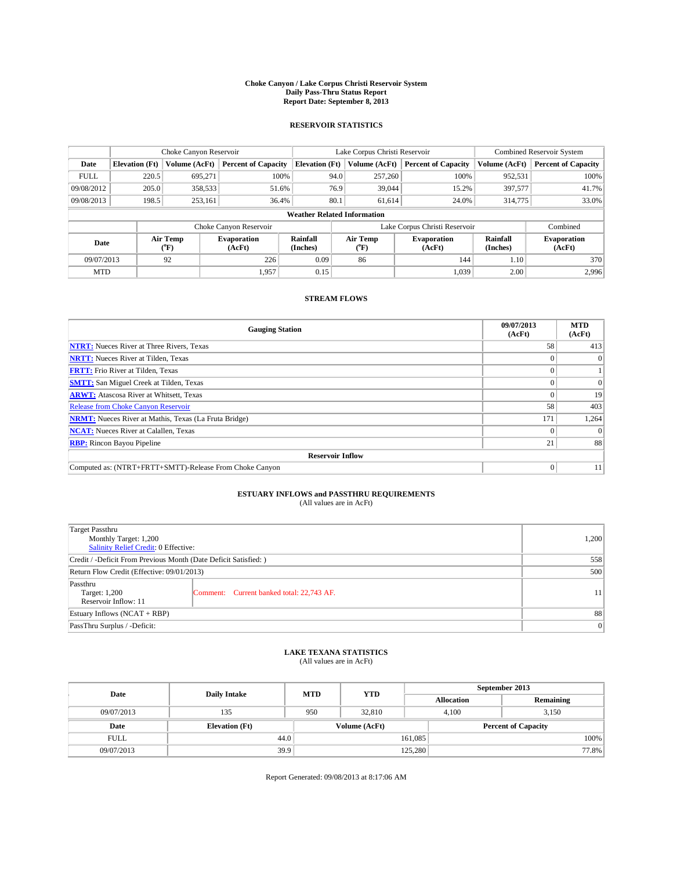### **Choke Canyon / Lake Corpus Christi Reservoir System Daily Pass-Thru Status Report Report Date: September 8, 2013**

### **RESERVOIR STATISTICS**

|             |                       | Choke Canyon Reservoir |                              |                                    | Lake Corpus Christi Reservoir | <b>Combined Reservoir System</b> |                      |                              |
|-------------|-----------------------|------------------------|------------------------------|------------------------------------|-------------------------------|----------------------------------|----------------------|------------------------------|
| Date        | <b>Elevation</b> (Ft) | Volume (AcFt)          | <b>Percent of Capacity</b>   | <b>Elevation (Ft)</b>              | Volume (AcFt)                 | <b>Percent of Capacity</b>       | Volume (AcFt)        | <b>Percent of Capacity</b>   |
| <b>FULL</b> | 220.5                 | 695,271                | 100%                         | 94.0                               | 257,260                       | 100%                             | 952,531              | 100%                         |
| 09/08/2012  | 205.0                 | 358,533                | 51.6%                        | 76.9                               | 39,044                        | 15.2%                            | 397,577              | 41.7%                        |
| 09/08/2013  | 198.5                 | 253,161                | 36.4%                        | 80.1                               | 61.614                        | 24.0%                            | 314,775              | 33.0%                        |
|             |                       |                        |                              | <b>Weather Related Information</b> |                               |                                  |                      |                              |
|             |                       |                        | Choke Canyon Reservoir       |                                    | Lake Corpus Christi Reservoir |                                  | Combined             |                              |
| Date        |                       | Air Temp<br>(°F)       | <b>Evaporation</b><br>(AcFt) | Rainfall<br>(Inches)               | Air Temp<br>(°F)              | <b>Evaporation</b><br>(AcFt)     | Rainfall<br>(Inches) | <b>Evaporation</b><br>(AcFt) |
| 09/07/2013  |                       | 92                     | 226                          | 0.09                               | 86                            | 144                              | 1.10                 | 370                          |
| <b>MTD</b>  |                       |                        | 1.957                        | 0.15                               |                               | 1,039                            | 2.00                 | 2.996                        |

## **STREAM FLOWS**

| <b>Gauging Station</b>                                       | 09/07/2013<br>(AcFt) | <b>MTD</b><br>(AcFt) |  |  |  |  |
|--------------------------------------------------------------|----------------------|----------------------|--|--|--|--|
| <b>NTRT:</b> Nueces River at Three Rivers, Texas             | 58                   | 413                  |  |  |  |  |
| <b>NRTT:</b> Nueces River at Tilden, Texas                   |                      |                      |  |  |  |  |
| <b>FRTT:</b> Frio River at Tilden, Texas                     |                      |                      |  |  |  |  |
| <b>SMTT:</b> San Miguel Creek at Tilden, Texas               |                      | $\Omega$             |  |  |  |  |
| <b>ARWT:</b> Atascosa River at Whitsett, Texas               |                      | 19                   |  |  |  |  |
| <b>Release from Choke Canyon Reservoir</b>                   | 58                   | 403                  |  |  |  |  |
| <b>NRMT:</b> Nueces River at Mathis, Texas (La Fruta Bridge) | 171                  | 1,264                |  |  |  |  |
| <b>NCAT:</b> Nueces River at Calallen, Texas                 |                      | $\Omega$             |  |  |  |  |
| <b>RBP:</b> Rincon Bayou Pipeline                            | 21                   | 88                   |  |  |  |  |
| <b>Reservoir Inflow</b>                                      |                      |                      |  |  |  |  |
| Computed as: (NTRT+FRTT+SMTT)-Release From Choke Canyon      | $\Omega$             | 11                   |  |  |  |  |

# **ESTUARY INFLOWS and PASSTHRU REQUIREMENTS**<br>(All values are in AcFt)

| Target Passthru<br>Monthly Target: 1,200                         |                                           |    |  |  |
|------------------------------------------------------------------|-------------------------------------------|----|--|--|
| Salinity Relief Credit: 0 Effective:                             |                                           |    |  |  |
| Credit / -Deficit From Previous Month (Date Deficit Satisfied: ) |                                           |    |  |  |
| Return Flow Credit (Effective: 09/01/2013)                       |                                           |    |  |  |
| Passthru<br>Target: 1,200<br>Reservoir Inflow: 11                | Comment: Current banked total: 22,743 AF. | 11 |  |  |
| Estuary Inflows (NCAT + RBP)                                     |                                           |    |  |  |
| PassThru Surplus / -Deficit:                                     | 0                                         |    |  |  |

# **LAKE TEXANA STATISTICS** (All values are in AcFt)

| Date        | <b>Daily Intake</b>   | <b>MTD</b> | <b>YTD</b>    | September 2013    |                            |           |       |
|-------------|-----------------------|------------|---------------|-------------------|----------------------------|-----------|-------|
|             |                       |            |               | <b>Allocation</b> |                            | Remaining |       |
| 09/07/2013  | 135                   | 950        | 32,810        |                   | 3.150<br>4.100             |           |       |
| Date        | <b>Elevation</b> (Ft) |            | Volume (AcFt) |                   | <b>Percent of Capacity</b> |           |       |
| <b>FULL</b> | 44.0                  |            |               | 161,085           |                            |           | 100%  |
| 09/07/2013  | 39.9                  |            |               | 125,280           |                            |           | 77.8% |

Report Generated: 09/08/2013 at 8:17:06 AM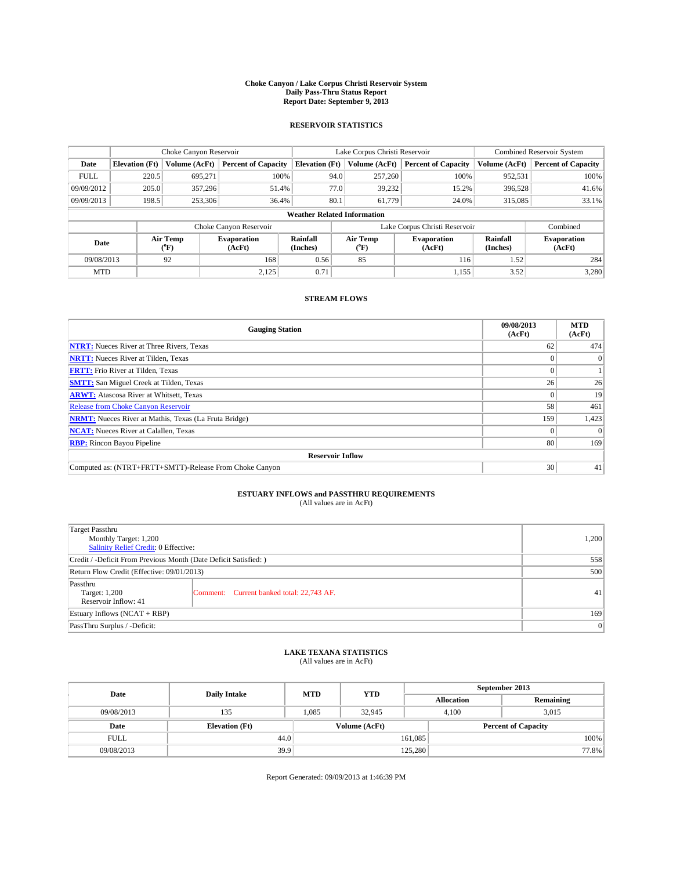### **Choke Canyon / Lake Corpus Christi Reservoir System Daily Pass-Thru Status Report Report Date: September 9, 2013**

### **RESERVOIR STATISTICS**

|             |                       | Choke Canyon Reservoir |                              |                                    | Lake Corpus Christi Reservoir | <b>Combined Reservoir System</b> |                      |                              |
|-------------|-----------------------|------------------------|------------------------------|------------------------------------|-------------------------------|----------------------------------|----------------------|------------------------------|
| Date        | <b>Elevation</b> (Ft) | Volume (AcFt)          | <b>Percent of Capacity</b>   | <b>Elevation (Ft)</b>              | Volume (AcFt)                 | <b>Percent of Capacity</b>       | Volume (AcFt)        | <b>Percent of Capacity</b>   |
| <b>FULL</b> | 220.5                 | 695,271                | 100%                         | 94.0                               | 257,260                       | 100%                             | 952,531              | 100%                         |
| 09/09/2012  | 205.0                 | 357,296                | 51.4%                        | 77.0                               | 39,232                        | 15.2%                            | 396,528              | 41.6%                        |
| 09/09/2013  | 198.5                 | 253,306                | 36.4%                        | 80.1                               | 61.779                        | 24.0%                            | 315,085              | 33.1%                        |
|             |                       |                        |                              | <b>Weather Related Information</b> |                               |                                  |                      |                              |
|             |                       |                        | Choke Canyon Reservoir       |                                    | Lake Corpus Christi Reservoir |                                  | Combined             |                              |
| Date        |                       | Air Temp<br>(°F)       | <b>Evaporation</b><br>(AcFt) | Rainfall<br>(Inches)               | Air Temp<br>(°F)              | <b>Evaporation</b><br>(AcFt)     | Rainfall<br>(Inches) | <b>Evaporation</b><br>(AcFt) |
| 09/08/2013  |                       | 92                     | 168                          | 0.56                               | 85                            | 116                              | 1.52                 | 284                          |
| <b>MTD</b>  |                       |                        | 2,125                        | 0.71                               |                               | 1,155                            | 3.52                 | 3,280                        |

## **STREAM FLOWS**

| <b>Gauging Station</b>                                       | 09/08/2013<br>(AcFt) | <b>MTD</b><br>(AcFt) |  |  |  |  |
|--------------------------------------------------------------|----------------------|----------------------|--|--|--|--|
| <b>NTRT:</b> Nueces River at Three Rivers, Texas             | 62                   | 474                  |  |  |  |  |
| <b>NRTT:</b> Nueces River at Tilden, Texas                   |                      | $\theta$             |  |  |  |  |
| <b>FRTT:</b> Frio River at Tilden, Texas                     |                      |                      |  |  |  |  |
| <b>SMTT:</b> San Miguel Creek at Tilden, Texas               | 26                   | 26                   |  |  |  |  |
| <b>ARWT:</b> Atascosa River at Whitsett, Texas               |                      | 19                   |  |  |  |  |
| <b>Release from Choke Canyon Reservoir</b>                   | 58                   | 461                  |  |  |  |  |
| <b>NRMT:</b> Nueces River at Mathis, Texas (La Fruta Bridge) | 159                  | 1,423                |  |  |  |  |
| <b>NCAT:</b> Nueces River at Calallen, Texas                 |                      | $\Omega$             |  |  |  |  |
| <b>RBP:</b> Rincon Bayou Pipeline                            | 80                   | 169                  |  |  |  |  |
| <b>Reservoir Inflow</b>                                      |                      |                      |  |  |  |  |
| Computed as: (NTRT+FRTT+SMTT)-Release From Choke Canyon      | 30                   | 41                   |  |  |  |  |

# **ESTUARY INFLOWS and PASSTHRU REQUIREMENTS**<br>(All values are in AcFt)

| Target Passthru                                                  |                                           |    |  |  |
|------------------------------------------------------------------|-------------------------------------------|----|--|--|
| Monthly Target: 1,200                                            | 1,200                                     |    |  |  |
| Salinity Relief Credit: 0 Effective:                             |                                           |    |  |  |
| Credit / -Deficit From Previous Month (Date Deficit Satisfied: ) | 558                                       |    |  |  |
| Return Flow Credit (Effective: 09/01/2013)                       | 500                                       |    |  |  |
| Passthru                                                         |                                           |    |  |  |
| Target: 1,200                                                    | Comment: Current banked total: 22,743 AF. | 41 |  |  |
| Reservoir Inflow: 41                                             |                                           |    |  |  |
| Estuary Inflows (NCAT + RBP)                                     | 169                                       |    |  |  |
| PassThru Surplus / -Deficit:                                     | 0                                         |    |  |  |

# **LAKE TEXANA STATISTICS** (All values are in AcFt)

| Date        | <b>Daily Intake</b>   | <b>MTD</b> | <b>YTD</b>    | September 2013    |                            |           |  |
|-------------|-----------------------|------------|---------------|-------------------|----------------------------|-----------|--|
|             |                       |            |               | <b>Allocation</b> |                            | Remaining |  |
| 09/08/2013  | 135                   | 1,085      | 32.945        |                   | 3,015<br>4,100             |           |  |
| Date        | <b>Elevation</b> (Ft) |            | Volume (AcFt) |                   | <b>Percent of Capacity</b> |           |  |
| <b>FULL</b> | 44.0                  |            |               | 161,085           |                            | 100%      |  |
| 09/08/2013  | 39.9                  |            |               | 125,280           |                            | 77.8%     |  |

Report Generated: 09/09/2013 at 1:46:39 PM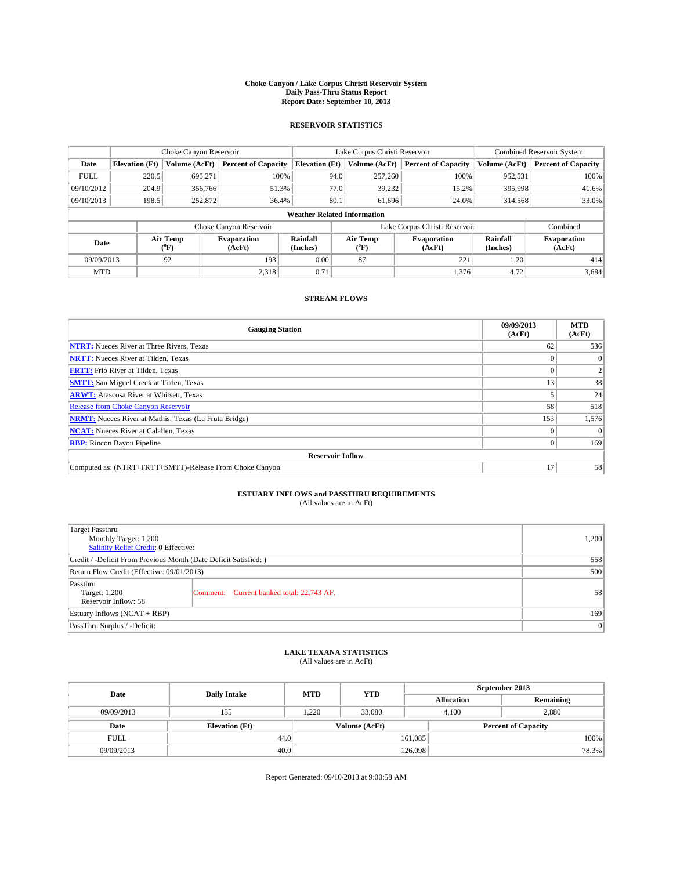### **Choke Canyon / Lake Corpus Christi Reservoir System Daily Pass-Thru Status Report Report Date: September 10, 2013**

### **RESERVOIR STATISTICS**

|             |                       | Choke Canyon Reservoir |                              |                                    | Lake Corpus Christi Reservoir             | <b>Combined Reservoir System</b> |                      |                              |  |
|-------------|-----------------------|------------------------|------------------------------|------------------------------------|-------------------------------------------|----------------------------------|----------------------|------------------------------|--|
| Date        | <b>Elevation</b> (Ft) | Volume (AcFt)          | <b>Percent of Capacity</b>   | <b>Elevation (Ft)</b>              | Volume (AcFt)                             | <b>Percent of Capacity</b>       | Volume (AcFt)        | <b>Percent of Capacity</b>   |  |
| <b>FULL</b> | 220.5                 | 695,271                | 100%                         | 94.0                               | 257,260                                   | 100%                             | 952,531              | 100%                         |  |
| 09/10/2012  | 204.9                 | 356,766                | 51.3%                        | 77.0                               | 39,232                                    | 15.2%                            | 395,998              | 41.6%                        |  |
| 09/10/2013  | 198.5                 | 252,872                | 36.4%                        | 80.1                               | 61.696                                    | 24.0%                            | 314,568              | 33.0%                        |  |
|             |                       |                        |                              | <b>Weather Related Information</b> |                                           |                                  |                      |                              |  |
|             |                       |                        | Choke Canyon Reservoir       |                                    | Lake Corpus Christi Reservoir<br>Combined |                                  |                      |                              |  |
| Date        |                       | Air Temp<br>(°F)       | <b>Evaporation</b><br>(AcFt) | Rainfall<br>(Inches)               | Air Temp<br>("F)                          | <b>Evaporation</b><br>(AcFt)     | Rainfall<br>(Inches) | <b>Evaporation</b><br>(AcFt) |  |
| 09/09/2013  |                       | 92                     | 193                          | 0.00                               | 87                                        | 221                              | 1.20                 | 414                          |  |
| <b>MTD</b>  |                       |                        | 2,318                        | 0.71                               |                                           | 1,376                            | 4.72                 | 3,694                        |  |

## **STREAM FLOWS**

| <b>Gauging Station</b>                                       | 09/09/2013<br>(AcFt) | <b>MTD</b><br>(AcFt) |
|--------------------------------------------------------------|----------------------|----------------------|
| <b>NTRT:</b> Nueces River at Three Rivers, Texas             | 62                   | 536                  |
| <b>NRTT:</b> Nueces River at Tilden, Texas                   |                      | $\theta$             |
| <b>FRTT:</b> Frio River at Tilden, Texas                     |                      |                      |
| <b>SMTT:</b> San Miguel Creek at Tilden, Texas               | 13                   | 38                   |
| <b>ARWT:</b> Atascosa River at Whitsett, Texas               |                      | 24                   |
| <b>Release from Choke Canyon Reservoir</b>                   | 58                   | 518                  |
| <b>NRMT:</b> Nueces River at Mathis, Texas (La Fruta Bridge) | 153                  | 1,576                |
| <b>NCAT:</b> Nueces River at Calallen, Texas                 |                      | $\Omega$             |
| <b>RBP:</b> Rincon Bayou Pipeline                            | 0                    | 169                  |
| <b>Reservoir Inflow</b>                                      |                      |                      |
| Computed as: (NTRT+FRTT+SMTT)-Release From Choke Canyon      | 17                   | 58                   |

# **ESTUARY INFLOWS and PASSTHRU REQUIREMENTS**<br>(All values are in AcFt)

| <b>Target Passthru</b><br>Monthly Target: 1,200<br>Salinity Relief Credit: 0 Effective: |                                           |    |  |  |
|-----------------------------------------------------------------------------------------|-------------------------------------------|----|--|--|
| Credit / -Deficit From Previous Month (Date Deficit Satisfied: )                        |                                           |    |  |  |
| Return Flow Credit (Effective: 09/01/2013)                                              |                                           |    |  |  |
| Passthru<br>Target: 1,200<br>Reservoir Inflow: 58                                       | Comment: Current banked total: 22,743 AF. | 58 |  |  |
| Estuary Inflows (NCAT + RBP)                                                            | 169                                       |    |  |  |
| PassThru Surplus / -Deficit:                                                            |                                           |    |  |  |

# **LAKE TEXANA STATISTICS** (All values are in AcFt)

| Date        | <b>Daily Intake</b>   | <b>MTD</b> | <b>YTD</b>    | September 2013    |                            |           |       |
|-------------|-----------------------|------------|---------------|-------------------|----------------------------|-----------|-------|
|             |                       |            |               | <b>Allocation</b> |                            | Remaining |       |
| 09/09/2013  | 135                   | 1.220      | 33,080        |                   | 2.880<br>4.100             |           |       |
| Date        | <b>Elevation</b> (Ft) |            | Volume (AcFt) |                   | <b>Percent of Capacity</b> |           |       |
| <b>FULL</b> | 44.0                  |            |               | 161,085           |                            |           | 100%  |
| 09/09/2013  | 40.0                  |            |               | 126,098           |                            |           | 78.3% |

Report Generated: 09/10/2013 at 9:00:58 AM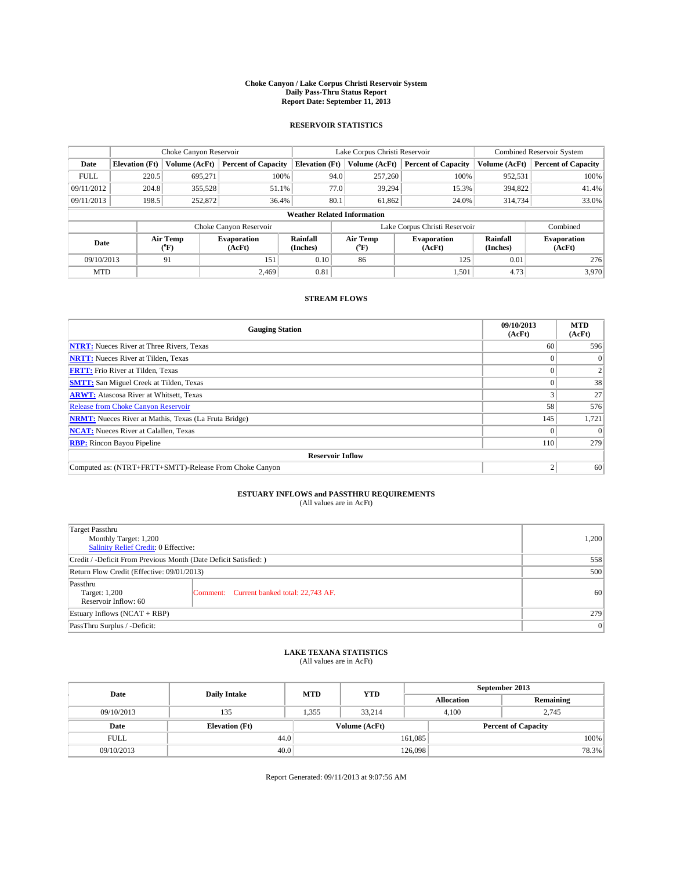### **Choke Canyon / Lake Corpus Christi Reservoir System Daily Pass-Thru Status Report Report Date: September 11, 2013**

### **RESERVOIR STATISTICS**

|             |                       | Choke Canyon Reservoir |                              |                                    | Lake Corpus Christi Reservoir | <b>Combined Reservoir System</b> |                      |                              |
|-------------|-----------------------|------------------------|------------------------------|------------------------------------|-------------------------------|----------------------------------|----------------------|------------------------------|
| Date        | <b>Elevation</b> (Ft) | Volume (AcFt)          | <b>Percent of Capacity</b>   | <b>Elevation (Ft)</b>              | Volume (AcFt)                 | <b>Percent of Capacity</b>       | Volume (AcFt)        | <b>Percent of Capacity</b>   |
| <b>FULL</b> | 220.5                 | 695,271                | 100%                         | 94.0                               | 257,260                       | 100%                             | 952,531              | 100%                         |
| 09/11/2012  | 204.8                 | 355,528                | 51.1%                        | 77.0                               | 39,294                        | 15.3%                            | 394,822              | 41.4%                        |
| 09/11/2013  | 198.5                 | 252,872                | 36.4%                        | 80.1                               | 61.862                        | 24.0%                            | 314,734              | 33.0%                        |
|             |                       |                        |                              | <b>Weather Related Information</b> |                               |                                  |                      |                              |
|             |                       |                        | Choke Canyon Reservoir       |                                    | Lake Corpus Christi Reservoir |                                  |                      |                              |
| Date        |                       | Air Temp<br>(°F)       | <b>Evaporation</b><br>(AcFt) | Rainfall<br>(Inches)               | Air Temp<br>(°F)              | <b>Evaporation</b><br>(AcFt)     | Rainfall<br>(Inches) | <b>Evaporation</b><br>(AcFt) |
| 09/10/2013  |                       | 91                     | 151                          | 0.10                               | 86                            | 125                              | 0.01                 | 276                          |
| <b>MTD</b>  |                       |                        | 2.469                        | 0.81                               |                               | 1,501                            | 4.73                 | 3,970                        |

## **STREAM FLOWS**

| <b>Gauging Station</b>                                       | 09/10/2013<br>(AcFt) | <b>MTD</b><br>(AcFt) |
|--------------------------------------------------------------|----------------------|----------------------|
| <b>NTRT:</b> Nueces River at Three Rivers, Texas             | 60                   | 596                  |
| <b>NRTT:</b> Nueces River at Tilden, Texas                   |                      | $\theta$             |
| <b>FRTT:</b> Frio River at Tilden, Texas                     |                      |                      |
| <b>SMTT:</b> San Miguel Creek at Tilden, Texas               |                      | 38                   |
| <b>ARWT:</b> Atascosa River at Whitsett, Texas               |                      | 27                   |
| <b>Release from Choke Canyon Reservoir</b>                   | 58                   | 576                  |
| <b>NRMT:</b> Nueces River at Mathis, Texas (La Fruta Bridge) | 145                  | 1,721                |
| <b>NCAT:</b> Nueces River at Calallen, Texas                 |                      | $\Omega$             |
| <b>RBP:</b> Rincon Bayou Pipeline                            | 110                  | 279                  |
| <b>Reservoir Inflow</b>                                      |                      |                      |
| Computed as: (NTRT+FRTT+SMTT)-Release From Choke Canyon      | h                    | 60                   |

# **ESTUARY INFLOWS and PASSTHRU REQUIREMENTS**<br>(All values are in AcFt)

| Target Passthru                                                  |                                           |                 |  |  |
|------------------------------------------------------------------|-------------------------------------------|-----------------|--|--|
| Monthly Target: 1,200                                            |                                           |                 |  |  |
| Salinity Relief Credit: 0 Effective:                             |                                           |                 |  |  |
| Credit / -Deficit From Previous Month (Date Deficit Satisfied: ) |                                           |                 |  |  |
| Return Flow Credit (Effective: 09/01/2013)                       | 500                                       |                 |  |  |
| Passthru                                                         |                                           |                 |  |  |
| Target: 1,200                                                    | Comment: Current banked total: 22,743 AF. | 60 <sup>1</sup> |  |  |
| Reservoir Inflow: 60                                             |                                           |                 |  |  |
| Estuary Inflows (NCAT + RBP)                                     | 279                                       |                 |  |  |
| PassThru Surplus / -Deficit:                                     | 0                                         |                 |  |  |

# **LAKE TEXANA STATISTICS** (All values are in AcFt)

| Date        | <b>Daily Intake</b>   | <b>MTD</b> | <b>YTD</b>    | September 2013    |                            |           |       |
|-------------|-----------------------|------------|---------------|-------------------|----------------------------|-----------|-------|
|             |                       |            |               | <b>Allocation</b> |                            | Remaining |       |
| 09/10/2013  | 135                   | 1,355      | 33,214        |                   | 4,100<br>2,745             |           |       |
| Date        | <b>Elevation</b> (Ft) |            | Volume (AcFt) |                   | <b>Percent of Capacity</b> |           |       |
| <b>FULL</b> | 44.0                  |            |               | 161,085           |                            |           | 100%  |
| 09/10/2013  | 40.0                  |            |               | 126,098           |                            |           | 78.3% |

Report Generated: 09/11/2013 at 9:07:56 AM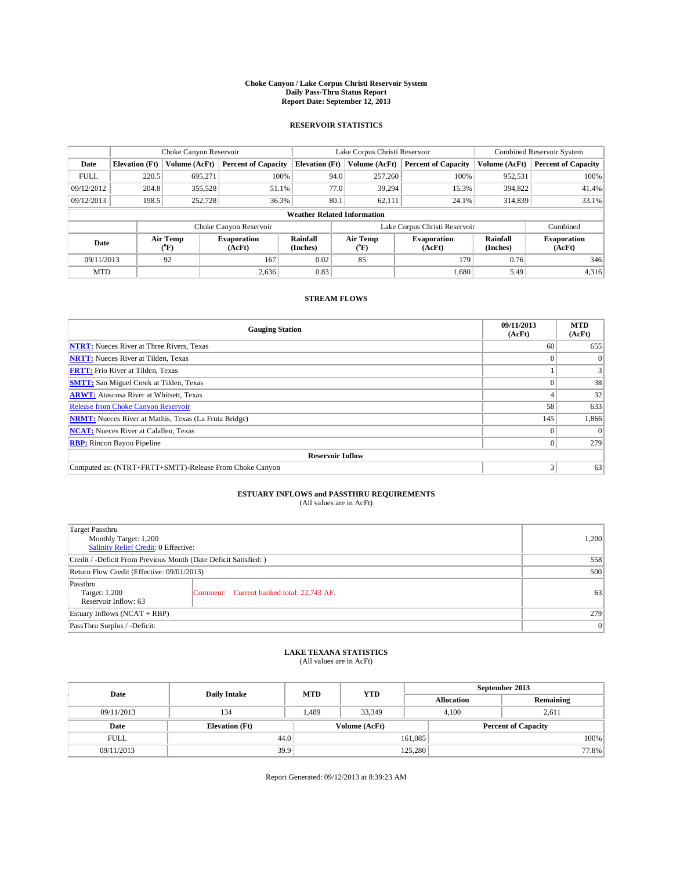### **Choke Canyon / Lake Corpus Christi Reservoir System Daily Pass-Thru Status Report Report Date: September 12, 2013**

### **RESERVOIR STATISTICS**

|             |                       | Choke Canyon Reservoir |                              |                                    | Lake Corpus Christi Reservoir             | <b>Combined Reservoir System</b> |                      |                              |
|-------------|-----------------------|------------------------|------------------------------|------------------------------------|-------------------------------------------|----------------------------------|----------------------|------------------------------|
| Date        | <b>Elevation</b> (Ft) | Volume (AcFt)          | <b>Percent of Capacity</b>   | <b>Elevation (Ft)</b>              | Volume (AcFt)                             | <b>Percent of Capacity</b>       | Volume (AcFt)        | <b>Percent of Capacity</b>   |
| <b>FULL</b> | 220.5                 | 695.271                | 100%                         | 94.0                               | 257,260                                   | 100%                             | 952,531              | 100%                         |
| 09/12/2012  | 204.8                 | 355,528                | 51.1%                        | 77.0                               | 39,294                                    | 15.3%                            | 394,822              | 41.4%                        |
| 09/12/2013  | 198.5                 | 252,728                | 36.3%                        | 80.1                               | 62,111                                    | 24.1%                            | 314,839              | 33.1%                        |
|             |                       |                        |                              | <b>Weather Related Information</b> |                                           |                                  |                      |                              |
|             |                       |                        | Choke Canyon Reservoir       |                                    | Lake Corpus Christi Reservoir<br>Combined |                                  |                      |                              |
| Date        |                       | Air Temp<br>(°F)       | <b>Evaporation</b><br>(AcFt) | Rainfall<br>(Inches)               | Air Temp<br>$(^{o}F)$                     | <b>Evaporation</b><br>(AcFt)     | Rainfall<br>(Inches) | <b>Evaporation</b><br>(AcFt) |
| 09/11/2013  |                       | 92                     | 167                          | 0.02                               | 85                                        | 179                              |                      | 346                          |
| <b>MTD</b>  |                       |                        | 2,636                        | 0.83                               |                                           | 1,680                            | 5.49                 | 4,316                        |

## **STREAM FLOWS**

| <b>Gauging Station</b>                                       | 09/11/2013<br>(AcFt) | <b>MTD</b><br>(AcFt) |
|--------------------------------------------------------------|----------------------|----------------------|
| <b>NTRT:</b> Nueces River at Three Rivers, Texas             | 60                   | 655                  |
| <b>NRTT:</b> Nueces River at Tilden, Texas                   |                      | $\Omega$             |
| <b>FRTT:</b> Frio River at Tilden, Texas                     |                      | 3                    |
| <b>SMTT:</b> San Miguel Creek at Tilden, Texas               |                      | 38                   |
| <b>ARWT:</b> Atascosa River at Whitsett, Texas               |                      | 32                   |
| <b>Release from Choke Canyon Reservoir</b>                   | 58                   | 633                  |
| <b>NRMT:</b> Nueces River at Mathis, Texas (La Fruta Bridge) | 145                  | 1,866                |
| <b>NCAT:</b> Nueces River at Calallen, Texas                 |                      | $\Omega$             |
| <b>RBP:</b> Rincon Bayou Pipeline                            | $\Omega$             | 279                  |
| <b>Reservoir Inflow</b>                                      |                      |                      |
| Computed as: (NTRT+FRTT+SMTT)-Release From Choke Canyon      | 3                    | 63                   |

# **ESTUARY INFLOWS and PASSTHRU REQUIREMENTS**<br>(All values are in AcFt)

| <b>Target Passthru</b><br>Monthly Target: 1,200<br>Salinity Relief Credit: 0 Effective: |                                           |    |  |
|-----------------------------------------------------------------------------------------|-------------------------------------------|----|--|
| Credit / -Deficit From Previous Month (Date Deficit Satisfied: )                        |                                           |    |  |
| Return Flow Credit (Effective: 09/01/2013)                                              | 500                                       |    |  |
| Passthru<br>Target: 1,200<br>Reservoir Inflow: 63                                       | Comment: Current banked total: 22,743 AF. | 63 |  |
| Estuary Inflows $(NCAT + RBP)$                                                          | 279                                       |    |  |
| PassThru Surplus / -Deficit:                                                            | 0                                         |    |  |

# **LAKE TEXANA STATISTICS** (All values are in AcFt)

| Date        | <b>Daily Intake</b>   | <b>MTD</b> | <b>YTD</b>    | September 2013    |                            |           |       |
|-------------|-----------------------|------------|---------------|-------------------|----------------------------|-----------|-------|
|             |                       |            |               | <b>Allocation</b> |                            | Remaining |       |
| 09/11/2013  | 134                   | 1.489      | 33,349        |                   | 4.100<br>2,611             |           |       |
| Date        | <b>Elevation</b> (Ft) |            | Volume (AcFt) |                   | <b>Percent of Capacity</b> |           |       |
| <b>FULL</b> | 44.0                  |            |               | 161,085           |                            |           | 100%  |
| 09/11/2013  | 39.9                  |            |               | 125,280           |                            |           | 77.8% |

Report Generated: 09/12/2013 at 8:39:23 AM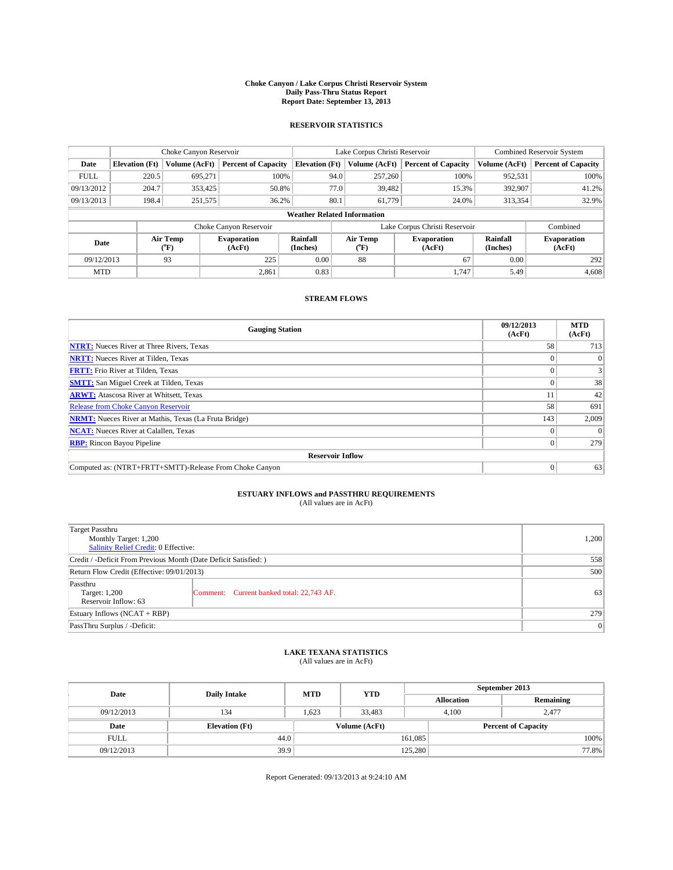### **Choke Canyon / Lake Corpus Christi Reservoir System Daily Pass-Thru Status Report Report Date: September 13, 2013**

### **RESERVOIR STATISTICS**

|             |                       | Choke Canyon Reservoir |                                                      |                                    | Lake Corpus Christi Reservoir | <b>Combined Reservoir System</b> |                      |                              |
|-------------|-----------------------|------------------------|------------------------------------------------------|------------------------------------|-------------------------------|----------------------------------|----------------------|------------------------------|
| Date        | <b>Elevation</b> (Ft) | Volume (AcFt)          | <b>Percent of Capacity</b>                           | <b>Elevation (Ft)</b>              | Volume (AcFt)                 | <b>Percent of Capacity</b>       | Volume (AcFt)        | <b>Percent of Capacity</b>   |
| <b>FULL</b> | 220.5                 | 695,271                | 100%                                                 | 94.0                               | 257,260                       | 100%                             | 952,531              | 100%                         |
| 09/13/2012  | 204.7                 | 353,425                | 50.8%                                                | 77.0                               | 39,482                        | 15.3%                            | 392,907              | 41.2%                        |
| 09/13/2013  | 198.4                 | 251,575                | 36.2%                                                | 80.1                               | 61,779                        | 24.0%                            | 313,354              | 32.9%                        |
|             |                       |                        |                                                      | <b>Weather Related Information</b> |                               |                                  |                      |                              |
|             |                       |                        | Choke Canyon Reservoir                               |                                    | Lake Corpus Christi Reservoir |                                  | Combined             |                              |
| Date        | Air Temp<br>(°F)      |                        | Rainfall<br><b>Evaporation</b><br>(Inches)<br>(AcFt) |                                    | Air Temp<br>$(^{o}F)$         | <b>Evaporation</b><br>(AcFt)     | Rainfall<br>(Inches) | <b>Evaporation</b><br>(AcFt) |
| 09/12/2013  |                       | 93                     | 225                                                  | 0.00                               | 88                            | 67                               | 0.00                 | 292                          |
|             | 2,861<br><b>MTD</b>   |                        | 0.83                                                 |                                    | 1,747                         | 5.49                             | 4,608                |                              |

## **STREAM FLOWS**

| <b>Gauging Station</b>                                       | 09/12/2013<br>(AcFt) | <b>MTD</b><br>(AcFt) |  |  |  |  |  |
|--------------------------------------------------------------|----------------------|----------------------|--|--|--|--|--|
| <b>NTRT:</b> Nueces River at Three Rivers, Texas             | 58                   | 713                  |  |  |  |  |  |
| <b>NRTT:</b> Nueces River at Tilden, Texas                   |                      | $\theta$             |  |  |  |  |  |
| <b>FRTT:</b> Frio River at Tilden, Texas                     |                      |                      |  |  |  |  |  |
| <b>SMTT:</b> San Miguel Creek at Tilden, Texas               |                      | 38                   |  |  |  |  |  |
| <b>ARWT:</b> Atascosa River at Whitsett, Texas               |                      | 42                   |  |  |  |  |  |
| <b>Release from Choke Canyon Reservoir</b>                   | 58                   | 691                  |  |  |  |  |  |
| <b>NRMT:</b> Nueces River at Mathis, Texas (La Fruta Bridge) | 143                  | 2,009                |  |  |  |  |  |
| <b>NCAT:</b> Nueces River at Calallen, Texas                 |                      | $\Omega$             |  |  |  |  |  |
| <b>RBP:</b> Rincon Bayou Pipeline                            | $\Omega$             | 279                  |  |  |  |  |  |
| <b>Reservoir Inflow</b>                                      |                      |                      |  |  |  |  |  |
| Computed as: (NTRT+FRTT+SMTT)-Release From Choke Canyon      | $\Omega$             | 63                   |  |  |  |  |  |

# **ESTUARY INFLOWS and PASSTHRU REQUIREMENTS**<br>(All values are in AcFt)

| <b>Target Passthru</b><br>Monthly Target: 1,200<br>Salinity Relief Credit: 0 Effective: |                                           |    |  |  |
|-----------------------------------------------------------------------------------------|-------------------------------------------|----|--|--|
| Credit / -Deficit From Previous Month (Date Deficit Satisfied: )                        |                                           |    |  |  |
| Return Flow Credit (Effective: 09/01/2013)                                              |                                           |    |  |  |
| Passthru<br>Target: 1,200<br>Reservoir Inflow: 63                                       | Comment: Current banked total: 22,743 AF. | 63 |  |  |
| Estuary Inflows $(NCAT + RBP)$                                                          | 279                                       |    |  |  |
| PassThru Surplus / -Deficit:                                                            | 0                                         |    |  |  |

# **LAKE TEXANA STATISTICS** (All values are in AcFt)

| Date        | <b>Daily Intake</b>   | <b>MTD</b> | <b>YTD</b>    | September 2013    |                            |           |       |
|-------------|-----------------------|------------|---------------|-------------------|----------------------------|-----------|-------|
|             |                       |            |               | <b>Allocation</b> |                            | Remaining |       |
| 09/12/2013  | 134                   | 1.623      | 33.483        |                   | 2.477<br>4.100             |           |       |
| Date        | <b>Elevation</b> (Ft) |            | Volume (AcFt) |                   | <b>Percent of Capacity</b> |           |       |
| <b>FULL</b> | 44.0                  |            |               | 161,085           |                            |           | 100%  |
| 09/12/2013  | 39.9                  |            |               | 125,280           |                            |           | 77.8% |

Report Generated: 09/13/2013 at 9:24:10 AM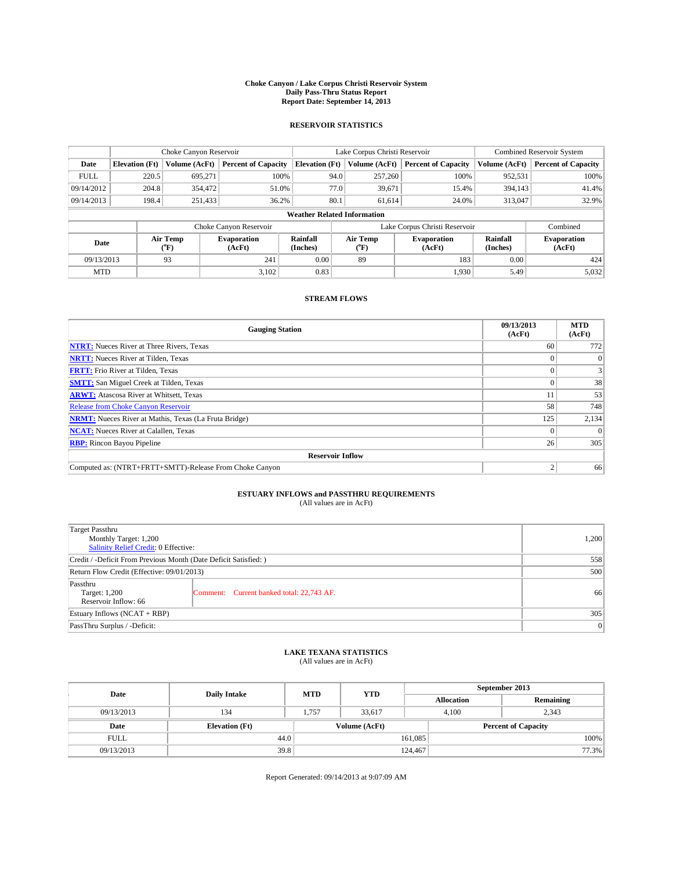### **Choke Canyon / Lake Corpus Christi Reservoir System Daily Pass-Thru Status Report Report Date: September 14, 2013**

### **RESERVOIR STATISTICS**

|             |                       | Choke Canyon Reservoir |                              |                                    | Lake Corpus Christi Reservoir | <b>Combined Reservoir System</b> |                      |                              |
|-------------|-----------------------|------------------------|------------------------------|------------------------------------|-------------------------------|----------------------------------|----------------------|------------------------------|
| Date        | <b>Elevation</b> (Ft) | Volume (AcFt)          | <b>Percent of Capacity</b>   | <b>Elevation (Ft)</b>              | Volume (AcFt)                 | <b>Percent of Capacity</b>       | Volume (AcFt)        | <b>Percent of Capacity</b>   |
| <b>FULL</b> | 220.5                 | 695,271                | 100%                         | 94.0                               | 257,260                       | 100%                             | 952,531              | 100%                         |
| 09/14/2012  | 204.8                 | 354,472                | 51.0%                        | 77.0                               | 39,671                        | 15.4%                            | 394,143              | 41.4%                        |
| 09/14/2013  | 198.4                 | 251,433                | 36.2%                        | 80.1                               | 61.614                        | 24.0%                            | 313,047              | 32.9%                        |
|             |                       |                        |                              | <b>Weather Related Information</b> |                               |                                  |                      |                              |
|             |                       |                        | Choke Canyon Reservoir       |                                    | Lake Corpus Christi Reservoir |                                  | Combined             |                              |
| Date        |                       | Air Temp<br>(°F)       | <b>Evaporation</b><br>(AcFt) | Rainfall<br>(Inches)               | Air Temp<br>$(^{o}F)$         | <b>Evaporation</b><br>(AcFt)     | Rainfall<br>(Inches) | <b>Evaporation</b><br>(AcFt) |
| 09/13/2013  |                       | 93                     | 241                          | 0.00                               | 89                            | 183                              | 0.00                 | 424                          |
| <b>MTD</b>  |                       |                        | 3,102                        | 0.83                               |                               | 1,930                            | 5.49                 | 5,032                        |

### **STREAM FLOWS**

| <b>Gauging Station</b>                                       | 09/13/2013<br>(AcFt) | <b>MTD</b><br>(AcFt) |
|--------------------------------------------------------------|----------------------|----------------------|
| <b>NTRT:</b> Nueces River at Three Rivers, Texas             | 60                   | 772                  |
| <b>NRTT:</b> Nueces River at Tilden, Texas                   |                      | $\Omega$             |
| <b>FRTT:</b> Frio River at Tilden, Texas                     |                      |                      |
| <b>SMTT:</b> San Miguel Creek at Tilden, Texas               |                      | 38                   |
| <b>ARWT:</b> Atascosa River at Whitsett, Texas               |                      | 53                   |
| <b>Release from Choke Canyon Reservoir</b>                   | 58                   | 748                  |
| <b>NRMT:</b> Nueces River at Mathis, Texas (La Fruta Bridge) | 125                  | 2,134                |
| <b>NCAT:</b> Nueces River at Calallen, Texas                 |                      | $\Omega$             |
| <b>RBP:</b> Rincon Bayou Pipeline                            | 26                   | 305                  |
| <b>Reservoir Inflow</b>                                      |                      |                      |
| Computed as: (NTRT+FRTT+SMTT)-Release From Choke Canyon      | h                    | 66                   |

# **ESTUARY INFLOWS and PASSTHRU REQUIREMENTS**<br>(All values are in AcFt)

| Target Passthru                                                  |                                           |     |  |  |
|------------------------------------------------------------------|-------------------------------------------|-----|--|--|
| Monthly Target: 1,200                                            |                                           |     |  |  |
| Salinity Relief Credit: 0 Effective:                             |                                           |     |  |  |
| Credit / -Deficit From Previous Month (Date Deficit Satisfied: ) |                                           |     |  |  |
| Return Flow Credit (Effective: 09/01/2013)                       | 500                                       |     |  |  |
| Passthru                                                         |                                           |     |  |  |
| Target: 1,200<br>Reservoir Inflow: 66                            | Comment: Current banked total: 22,743 AF. | 66  |  |  |
|                                                                  |                                           | 305 |  |  |
| Estuary Inflows (NCAT + RBP)                                     |                                           |     |  |  |
| PassThru Surplus / -Deficit:                                     | 0                                         |     |  |  |

# **LAKE TEXANA STATISTICS** (All values are in AcFt)

| Date        | <b>Daily Intake</b>   | <b>MTD</b> | <b>YTD</b>    | September 2013    |                            |           |       |
|-------------|-----------------------|------------|---------------|-------------------|----------------------------|-----------|-------|
|             |                       |            |               | <b>Allocation</b> |                            | Remaining |       |
| 09/13/2013  | 134                   | 1.757      | 33,617        |                   | 2,343<br>4.100             |           |       |
| Date        | <b>Elevation</b> (Ft) |            | Volume (AcFt) |                   | <b>Percent of Capacity</b> |           |       |
| <b>FULL</b> | 44.0                  |            |               | 161,085           |                            |           | 100%  |
| 09/13/2013  | 39.8                  |            |               | 124,467           |                            |           | 77.3% |

Report Generated: 09/14/2013 at 9:07:09 AM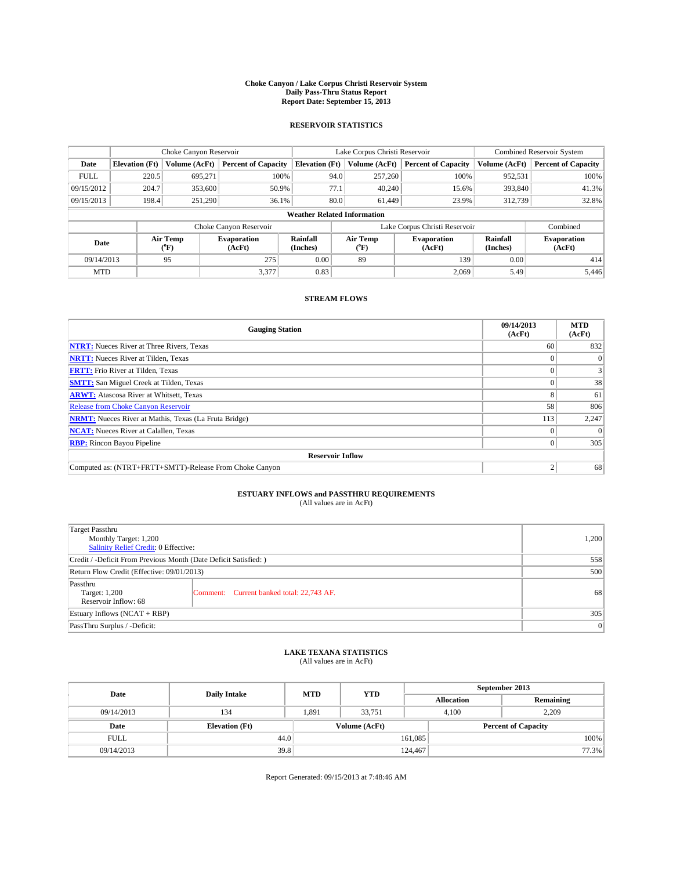### **Choke Canyon / Lake Corpus Christi Reservoir System Daily Pass-Thru Status Report Report Date: September 15, 2013**

### **RESERVOIR STATISTICS**

|             |                       | Choke Canyon Reservoir |                              |                                    | Lake Corpus Christi Reservoir | <b>Combined Reservoir System</b> |                      |                              |
|-------------|-----------------------|------------------------|------------------------------|------------------------------------|-------------------------------|----------------------------------|----------------------|------------------------------|
| Date        | <b>Elevation</b> (Ft) | Volume (AcFt)          | <b>Percent of Capacity</b>   | <b>Elevation (Ft)</b>              | Volume (AcFt)                 | <b>Percent of Capacity</b>       | Volume (AcFt)        | <b>Percent of Capacity</b>   |
| <b>FULL</b> | 220.5                 | 695,271                | 100%                         | 94.0                               | 257,260                       | 100%                             | 952,531              | 100%                         |
| 09/15/2012  | 204.7                 | 353,600                | 50.9%                        | 77.1                               | 40,240                        | 15.6%                            | 393,840              | 41.3%                        |
| 09/15/2013  | 198.4                 | 251,290                | 36.1%                        | 80.0                               | 61.449                        | 23.9%                            | 312,739              | 32.8%                        |
|             |                       |                        |                              | <b>Weather Related Information</b> |                               |                                  |                      |                              |
|             |                       |                        | Choke Canyon Reservoir       |                                    | Lake Corpus Christi Reservoir |                                  | Combined             |                              |
| Date        |                       | Air Temp<br>(°F)       | <b>Evaporation</b><br>(AcFt) | Rainfall<br>(Inches)               | Air Temp<br>$(^{o}F)$         | <b>Evaporation</b><br>(AcFt)     | Rainfall<br>(Inches) | <b>Evaporation</b><br>(AcFt) |
| 09/14/2013  |                       | 95                     | 275                          | 0.00                               | 89                            | 139                              | 0.00                 | 414                          |
| <b>MTD</b>  |                       |                        | 3,377                        | 0.83                               |                               | 2,069                            | 5.49                 | 5.446                        |

## **STREAM FLOWS**

| <b>Gauging Station</b>                                       | 09/14/2013<br>(AcFt) | <b>MTD</b><br>(AcFt) |
|--------------------------------------------------------------|----------------------|----------------------|
| <b>NTRT:</b> Nueces River at Three Rivers, Texas             | 60                   | 832                  |
| <b>NRTT:</b> Nueces River at Tilden, Texas                   |                      | $\theta$             |
| <b>FRTT:</b> Frio River at Tilden, Texas                     |                      |                      |
| <b>SMTT:</b> San Miguel Creek at Tilden, Texas               |                      | 38                   |
| <b>ARWT:</b> Atascosa River at Whitsett, Texas               |                      | 61                   |
| <b>Release from Choke Canyon Reservoir</b>                   | 58                   | 806                  |
| <b>NRMT:</b> Nueces River at Mathis, Texas (La Fruta Bridge) | 113                  | 2,247                |
| <b>NCAT:</b> Nueces River at Calallen, Texas                 |                      | $\Omega$             |
| <b>RBP:</b> Rincon Bayou Pipeline                            |                      | 305                  |
| <b>Reservoir Inflow</b>                                      |                      |                      |
| Computed as: (NTRT+FRTT+SMTT)-Release From Choke Canyon      | h                    | 68                   |

# **ESTUARY INFLOWS and PASSTHRU REQUIREMENTS**<br>(All values are in AcFt)

| <b>Target Passthru</b><br>Monthly Target: 1,200<br>Salinity Relief Credit: 0 Effective: |                                           |    |  |  |
|-----------------------------------------------------------------------------------------|-------------------------------------------|----|--|--|
| Credit / -Deficit From Previous Month (Date Deficit Satisfied: )                        |                                           |    |  |  |
| Return Flow Credit (Effective: 09/01/2013)                                              |                                           |    |  |  |
| Passthru<br>Target: 1,200<br>Reservoir Inflow: 68                                       | Comment: Current banked total: 22,743 AF. | 68 |  |  |
| Estuary Inflows (NCAT + RBP)                                                            |                                           |    |  |  |
| PassThru Surplus / -Deficit:                                                            |                                           |    |  |  |

## **LAKE TEXANA STATISTICS** (All values are in AcFt)

| Date        | <b>Daily Intake</b>   | <b>MTD</b> | <b>YTD</b>    | September 2013    |                            |           |       |
|-------------|-----------------------|------------|---------------|-------------------|----------------------------|-----------|-------|
|             |                       |            |               | <b>Allocation</b> |                            | Remaining |       |
| 09/14/2013  | 134                   | 1.891      | 33.751        |                   | 2,209<br>4.100             |           |       |
| Date        | <b>Elevation</b> (Ft) |            | Volume (AcFt) |                   | <b>Percent of Capacity</b> |           |       |
| <b>FULL</b> |                       | 44.0       |               | 161,085           |                            |           | 100%  |
| 09/14/2013  | 39.8                  |            |               | 124,467           |                            |           | 77.3% |

Report Generated: 09/15/2013 at 7:48:46 AM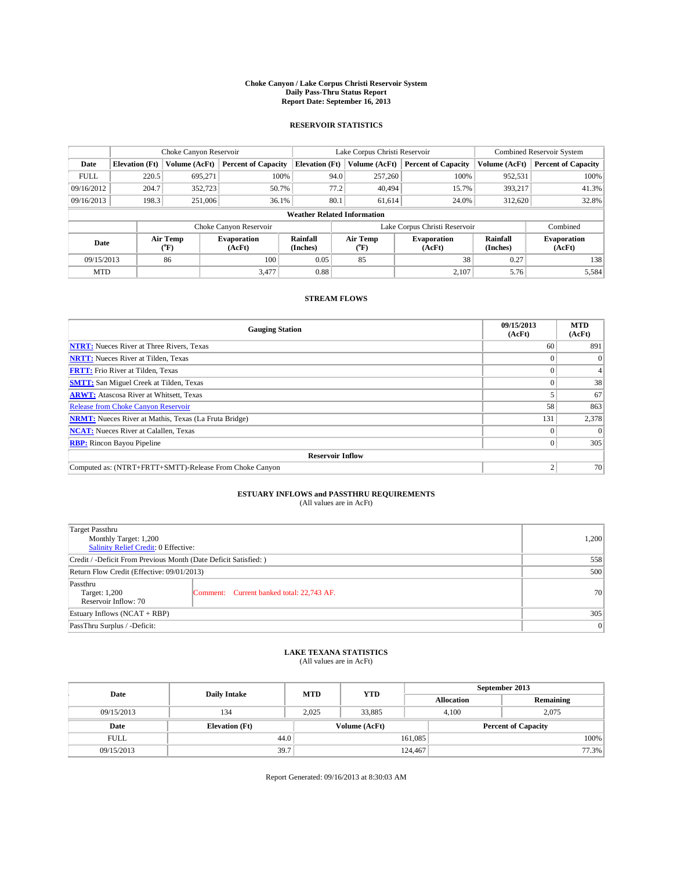### **Choke Canyon / Lake Corpus Christi Reservoir System Daily Pass-Thru Status Report Report Date: September 16, 2013**

### **RESERVOIR STATISTICS**

|             |                       | Choke Canyon Reservoir |                              |                                    | Lake Corpus Christi Reservoir | <b>Combined Reservoir System</b> |                      |                              |
|-------------|-----------------------|------------------------|------------------------------|------------------------------------|-------------------------------|----------------------------------|----------------------|------------------------------|
| Date        | <b>Elevation</b> (Ft) | Volume (AcFt)          | <b>Percent of Capacity</b>   | <b>Elevation (Ft)</b>              | Volume (AcFt)                 | <b>Percent of Capacity</b>       | Volume (AcFt)        | <b>Percent of Capacity</b>   |
| <b>FULL</b> | 220.5                 | 695,271                | 100%                         | 94.0                               | 257,260                       | 100%                             | 952,531              | 100%                         |
| 09/16/2012  | 204.7                 | 352,723                | 50.7%                        | 77.2                               | 40.494                        | 15.7%                            | 393,217              | 41.3%                        |
| 09/16/2013  | 198.3                 | 251,006                | 36.1%                        | 80.1                               | 61.614                        | 24.0%                            | 312,620              | 32.8%                        |
|             |                       |                        |                              | <b>Weather Related Information</b> |                               |                                  |                      |                              |
|             |                       |                        | Choke Canyon Reservoir       |                                    | Lake Corpus Christi Reservoir |                                  | Combined             |                              |
| Date        |                       | Air Temp<br>(°F)       | <b>Evaporation</b><br>(AcFt) | Rainfall<br>(Inches)               | Air Temp<br>$(^{o}F)$         | <b>Evaporation</b><br>(AcFt)     | Rainfall<br>(Inches) | <b>Evaporation</b><br>(AcFt) |
| 09/15/2013  |                       | 86                     | 100                          | 0.05                               | 85                            | 38                               | 0.27                 | 138                          |
| <b>MTD</b>  |                       |                        | 3,477                        | 0.88                               |                               | 2,107                            | 5.76                 | 5,584                        |

### **STREAM FLOWS**

| <b>Gauging Station</b>                                       | 09/15/2013<br>(AcFt) | <b>MTD</b><br>(AcFt) |  |  |  |  |
|--------------------------------------------------------------|----------------------|----------------------|--|--|--|--|
| <b>NTRT:</b> Nueces River at Three Rivers, Texas             | 60                   | 891                  |  |  |  |  |
| <b>NRTT:</b> Nueces River at Tilden, Texas                   |                      |                      |  |  |  |  |
| <b>FRTT:</b> Frio River at Tilden, Texas                     |                      |                      |  |  |  |  |
| <b>SMTT:</b> San Miguel Creek at Tilden, Texas               |                      | 38                   |  |  |  |  |
| <b>ARWT:</b> Atascosa River at Whitsett, Texas               |                      | 67                   |  |  |  |  |
| <b>Release from Choke Canyon Reservoir</b>                   | 58                   | 863                  |  |  |  |  |
| <b>NRMT:</b> Nueces River at Mathis, Texas (La Fruta Bridge) | 131                  | 2,378                |  |  |  |  |
| <b>NCAT:</b> Nueces River at Calallen, Texas                 |                      | $\Omega$             |  |  |  |  |
| <b>RBP:</b> Rincon Bayou Pipeline                            |                      | 305                  |  |  |  |  |
| <b>Reservoir Inflow</b>                                      |                      |                      |  |  |  |  |
| Computed as: (NTRT+FRTT+SMTT)-Release From Choke Canyon      | h                    | 70                   |  |  |  |  |

# **ESTUARY INFLOWS and PASSTHRU REQUIREMENTS**<br>(All values are in AcFt)

| Target Passthru                                                  |                                           |    |  |  |
|------------------------------------------------------------------|-------------------------------------------|----|--|--|
| Monthly Target: 1,200                                            |                                           |    |  |  |
| Salinity Relief Credit: 0 Effective:                             |                                           |    |  |  |
| Credit / -Deficit From Previous Month (Date Deficit Satisfied: ) |                                           |    |  |  |
| Return Flow Credit (Effective: 09/01/2013)                       |                                           |    |  |  |
| Passthru                                                         |                                           |    |  |  |
| Target: 1,200                                                    | Comment: Current banked total: 22,743 AF. | 70 |  |  |
| Reservoir Inflow: 70                                             |                                           |    |  |  |
| Estuary Inflows (NCAT + RBP)                                     |                                           |    |  |  |
| PassThru Surplus / -Deficit:                                     | 0                                         |    |  |  |

# **LAKE TEXANA STATISTICS** (All values are in AcFt)

| Date        | <b>Daily Intake</b>   | <b>MTD</b> | <b>YTD</b>    | September 2013    |                            |           |  |
|-------------|-----------------------|------------|---------------|-------------------|----------------------------|-----------|--|
|             |                       |            |               | <b>Allocation</b> |                            | Remaining |  |
| 09/15/2013  | 134                   | 2,025      | 33,885        |                   | 2,075<br>4,100             |           |  |
| Date        | <b>Elevation</b> (Ft) |            | Volume (AcFt) |                   | <b>Percent of Capacity</b> |           |  |
| <b>FULL</b> | 44.0                  |            |               | 161,085           |                            | 100%      |  |
| 09/15/2013  | 39.7                  |            |               | 124,467           |                            | 77.3%     |  |

Report Generated: 09/16/2013 at 8:30:03 AM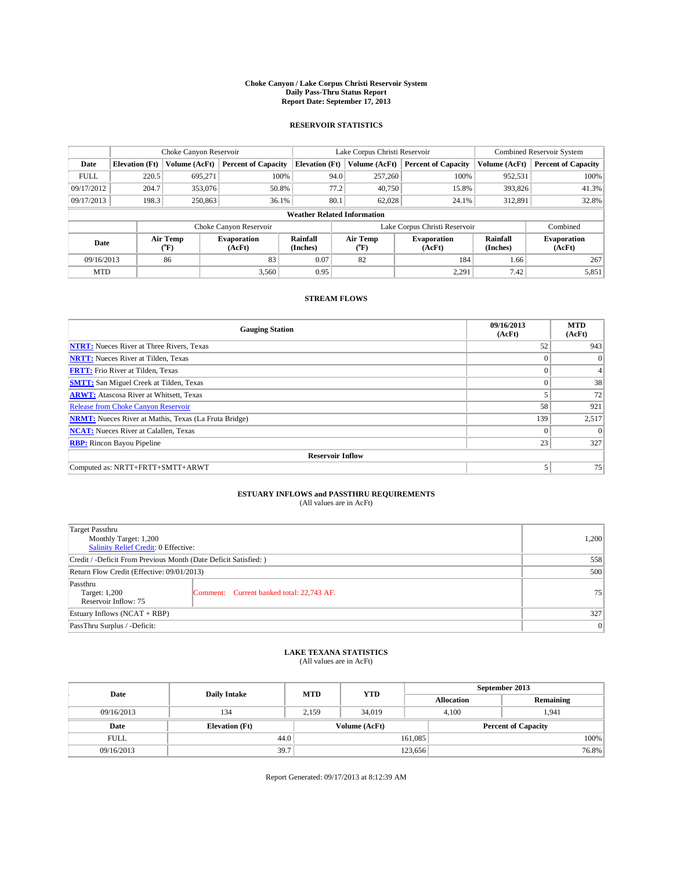### **Choke Canyon / Lake Corpus Christi Reservoir System Daily Pass-Thru Status Report Report Date: September 17, 2013**

### **RESERVOIR STATISTICS**

|             |                       | Choke Canyon Reservoir |                              |                                    | Lake Corpus Christi Reservoir | <b>Combined Reservoir System</b> |                      |                              |
|-------------|-----------------------|------------------------|------------------------------|------------------------------------|-------------------------------|----------------------------------|----------------------|------------------------------|
| Date        | <b>Elevation</b> (Ft) | Volume (AcFt)          | <b>Percent of Capacity</b>   | <b>Elevation (Ft)</b>              | Volume (AcFt)                 | <b>Percent of Capacity</b>       | Volume (AcFt)        | <b>Percent of Capacity</b>   |
| <b>FULL</b> | 220.5                 | 695,271                | 100%                         | 94.0                               | 257,260                       | 100%                             | 952,531              | 100%                         |
| 09/17/2012  | 204.7                 | 353,076                | 50.8%                        | 77.2                               | 40,750                        | 15.8%                            | 393,826              | 41.3%                        |
| 09/17/2013  | 198.3                 | 250,863                | 36.1%                        | 80.1                               | 62.028                        | 24.1%                            | 312,891              | 32.8%                        |
|             |                       |                        |                              | <b>Weather Related Information</b> |                               |                                  |                      |                              |
|             |                       |                        | Choke Canyon Reservoir       |                                    | Lake Corpus Christi Reservoir |                                  | Combined             |                              |
| Date        |                       | Air Temp<br>(°F)       | <b>Evaporation</b><br>(AcFt) | Rainfall<br>(Inches)               | Air Temp<br>("F)              | <b>Evaporation</b><br>(AcFt)     | Rainfall<br>(Inches) | <b>Evaporation</b><br>(AcFt) |
| 09/16/2013  |                       | 86                     | 83                           | 0.07                               | 82                            | 184                              | 1.66                 | 267                          |
|             | 3,560<br><b>MTD</b>   |                        | 0.95                         |                                    | 2,291                         | 7.42                             | 5,851                |                              |

## **STREAM FLOWS**

| <b>Gauging Station</b>                                       | 09/16/2013<br>(AcFt) | <b>MTD</b><br>(AcFt) |  |  |  |  |  |
|--------------------------------------------------------------|----------------------|----------------------|--|--|--|--|--|
| <b>NTRT:</b> Nueces River at Three Rivers, Texas             | 52                   | 943                  |  |  |  |  |  |
| <b>NRTT:</b> Nueces River at Tilden, Texas                   |                      | $\mathbf{0}$         |  |  |  |  |  |
| <b>FRTT:</b> Frio River at Tilden, Texas                     |                      |                      |  |  |  |  |  |
| <b>SMTT:</b> San Miguel Creek at Tilden, Texas               |                      | 38                   |  |  |  |  |  |
| <b>ARWT:</b> Atascosa River at Whitsett, Texas               |                      | 72                   |  |  |  |  |  |
| Release from Choke Canyon Reservoir                          | 58                   | 921                  |  |  |  |  |  |
| <b>NRMT:</b> Nueces River at Mathis, Texas (La Fruta Bridge) | 139                  | 2,517                |  |  |  |  |  |
| <b>NCAT:</b> Nueces River at Calallen, Texas                 | $\theta$             | $\Omega$             |  |  |  |  |  |
| <b>RBP:</b> Rincon Bayou Pipeline                            | 23                   | 327                  |  |  |  |  |  |
| <b>Reservoir Inflow</b>                                      |                      |                      |  |  |  |  |  |
| Computed as: NRTT+FRTT+SMTT+ARWT                             |                      | 75                   |  |  |  |  |  |

# **ESTUARY INFLOWS and PASSTHRU REQUIREMENTS**<br>(All values are in AcFt)

| <b>Target Passthru</b><br>Monthly Target: 1,200<br>Salinity Relief Credit: 0 Effective: |                                           |                 |  |  |
|-----------------------------------------------------------------------------------------|-------------------------------------------|-----------------|--|--|
| Credit / -Deficit From Previous Month (Date Deficit Satisfied: )                        |                                           |                 |  |  |
| Return Flow Credit (Effective: 09/01/2013)                                              |                                           |                 |  |  |
| Passthru<br>Target: 1,200<br>Reservoir Inflow: 75                                       | Comment: Current banked total: 22,743 AF. | 75 <sub>1</sub> |  |  |
| Estuary Inflows (NCAT + RBP)                                                            |                                           |                 |  |  |
| PassThru Surplus / -Deficit:                                                            | 0                                         |                 |  |  |

# **LAKE TEXANA STATISTICS** (All values are in AcFt)

| Date        | <b>Daily Intake</b>   | <b>MTD</b> | <b>YTD</b> | September 2013    |                |                            |  |
|-------------|-----------------------|------------|------------|-------------------|----------------|----------------------------|--|
|             |                       |            |            | <b>Allocation</b> |                | Remaining                  |  |
| 09/16/2013  | 134                   | 2.159      | 34,019     |                   | 4.100<br>1.941 |                            |  |
| Date        | <b>Elevation</b> (Ft) |            |            | Volume (AcFt)     |                | <b>Percent of Capacity</b> |  |
| <b>FULL</b> | 44.0                  |            |            | 161,085           |                | 100%                       |  |
| 09/16/2013  | 39.7                  |            |            | 123,656           |                | 76.8%                      |  |

Report Generated: 09/17/2013 at 8:12:39 AM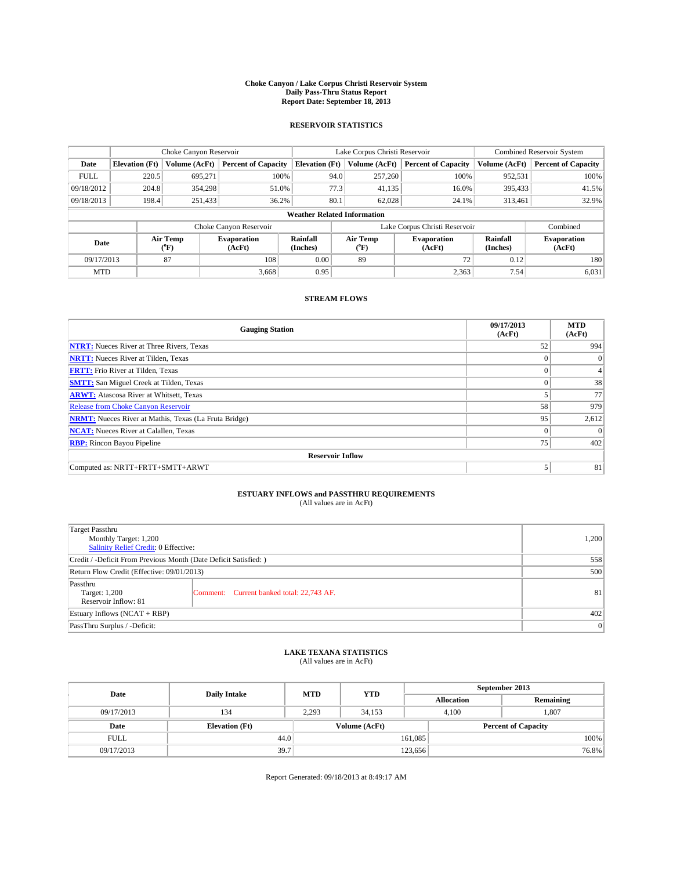### **Choke Canyon / Lake Corpus Christi Reservoir System Daily Pass-Thru Status Report Report Date: September 18, 2013**

### **RESERVOIR STATISTICS**

|             |                       | Choke Canyon Reservoir |                              |                                    | Lake Corpus Christi Reservoir | <b>Combined Reservoir System</b> |                      |                              |
|-------------|-----------------------|------------------------|------------------------------|------------------------------------|-------------------------------|----------------------------------|----------------------|------------------------------|
| Date        | <b>Elevation</b> (Ft) | Volume (AcFt)          | <b>Percent of Capacity</b>   | <b>Elevation (Ft)</b>              | Volume (AcFt)                 | <b>Percent of Capacity</b>       | Volume (AcFt)        | <b>Percent of Capacity</b>   |
| <b>FULL</b> | 220.5                 | 695,271                | 100%                         | 94.0                               | 257,260                       | 100%                             | 952,531              | 100%                         |
| 09/18/2012  | 204.8                 | 354,298                | 51.0%                        | 77.3                               | 41,135                        | 16.0%                            | 395,433              | 41.5%                        |
| 09/18/2013  | 198.4                 | 251,433                | 36.2%                        | 80.1                               | 62.028                        | 24.1%                            | 313,461              | 32.9%                        |
|             |                       |                        |                              | <b>Weather Related Information</b> |                               |                                  |                      |                              |
|             |                       |                        | Choke Canyon Reservoir       |                                    | Lake Corpus Christi Reservoir |                                  | Combined             |                              |
| Date        |                       | Air Temp<br>(°F)       | <b>Evaporation</b><br>(AcFt) | Rainfall<br>(Inches)               | Air Temp<br>("F)              | <b>Evaporation</b><br>(AcFt)     | Rainfall<br>(Inches) | <b>Evaporation</b><br>(AcFt) |
| 09/17/2013  |                       | 87                     | 108                          | 0.00                               | 89                            | 72                               | 0.12                 | 180                          |
|             | 3.668<br><b>MTD</b>   |                        | 0.95                         |                                    | 2,363                         | 7.54                             | 6,031                |                              |

### **STREAM FLOWS**

| <b>Gauging Station</b>                                       | 09/17/2013<br>(AcFt) | <b>MTD</b><br>(AcFt) |  |  |  |  |  |
|--------------------------------------------------------------|----------------------|----------------------|--|--|--|--|--|
| <b>NTRT:</b> Nueces River at Three Rivers, Texas             | 52                   | 994                  |  |  |  |  |  |
| <b>NRTT:</b> Nueces River at Tilden, Texas                   |                      | $\mathbf{0}$         |  |  |  |  |  |
| <b>FRTT:</b> Frio River at Tilden, Texas                     |                      |                      |  |  |  |  |  |
| <b>SMTT:</b> San Miguel Creek at Tilden, Texas               |                      | 38                   |  |  |  |  |  |
| <b>ARWT:</b> Atascosa River at Whitsett, Texas               |                      | 77                   |  |  |  |  |  |
| Release from Choke Canyon Reservoir                          | 58                   | 979                  |  |  |  |  |  |
| <b>NRMT:</b> Nueces River at Mathis, Texas (La Fruta Bridge) | 95                   | 2,612                |  |  |  |  |  |
| <b>NCAT:</b> Nueces River at Calallen, Texas                 | $\theta$             | $\Omega$             |  |  |  |  |  |
| <b>RBP:</b> Rincon Bayou Pipeline                            | 75                   | 402                  |  |  |  |  |  |
| <b>Reservoir Inflow</b>                                      |                      |                      |  |  |  |  |  |
| Computed as: NRTT+FRTT+SMTT+ARWT                             |                      | 81                   |  |  |  |  |  |

# **ESTUARY INFLOWS and PASSTHRU REQUIREMENTS**<br>(All values are in AcFt)

| <b>Target Passthru</b><br>Monthly Target: 1,200<br>Salinity Relief Credit: 0 Effective: |                                           |    |  |  |
|-----------------------------------------------------------------------------------------|-------------------------------------------|----|--|--|
| Credit / -Deficit From Previous Month (Date Deficit Satisfied: )                        |                                           |    |  |  |
| Return Flow Credit (Effective: 09/01/2013)                                              |                                           |    |  |  |
| Passthru<br>Target: 1,200<br>Reservoir Inflow: 81                                       | Comment: Current banked total: 22,743 AF. | 81 |  |  |
| Estuary Inflows (NCAT + RBP)                                                            | 402                                       |    |  |  |
| PassThru Surplus / -Deficit:                                                            | 0                                         |    |  |  |

# **LAKE TEXANA STATISTICS** (All values are in AcFt)

| Date        | <b>Daily Intake</b>   | <b>MTD</b> | <b>YTD</b>    | September 2013    |                            |           |       |
|-------------|-----------------------|------------|---------------|-------------------|----------------------------|-----------|-------|
|             |                       |            |               | <b>Allocation</b> |                            | Remaining |       |
| 09/17/2013  | 134                   | 2,293      | 34,153        |                   | 1,807<br>4,100             |           |       |
| Date        | <b>Elevation</b> (Ft) |            | Volume (AcFt) |                   | <b>Percent of Capacity</b> |           |       |
| <b>FULL</b> | 44.0                  |            |               | 161,085           |                            |           | 100%  |
| 09/17/2013  | 39.7                  |            |               | 123,656           |                            |           | 76.8% |

Report Generated: 09/18/2013 at 8:49:17 AM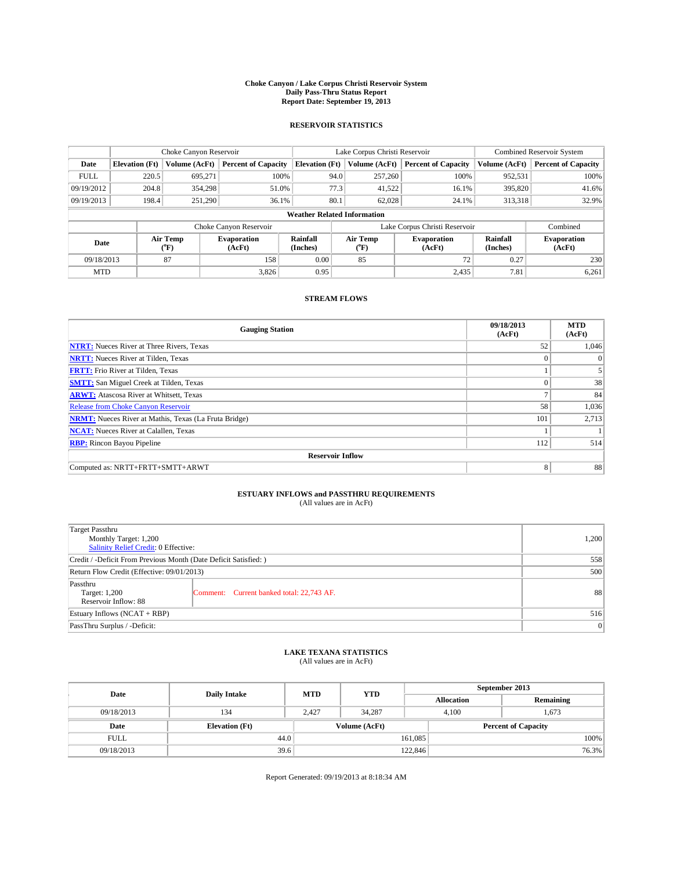### **Choke Canyon / Lake Corpus Christi Reservoir System Daily Pass-Thru Status Report Report Date: September 19, 2013**

### **RESERVOIR STATISTICS**

|             | Choke Canyon Reservoir |                  |                              |                                    | Lake Corpus Christi Reservoir | <b>Combined Reservoir System</b> |                      |                              |
|-------------|------------------------|------------------|------------------------------|------------------------------------|-------------------------------|----------------------------------|----------------------|------------------------------|
| Date        | <b>Elevation</b> (Ft)  | Volume (AcFt)    | <b>Percent of Capacity</b>   | <b>Elevation (Ft)</b>              | Volume (AcFt)                 | <b>Percent of Capacity</b>       | Volume (AcFt)        | Percent of Capacity          |
| <b>FULL</b> | 220.5                  | 695,271          | 100%                         | 94.0                               | 257,260                       | 100%                             | 952,531              | 100%                         |
| 09/19/2012  | 204.8                  | 354,298          | 51.0%                        | 77.3                               | 41,522                        | 16.1%                            | 395,820              | $41.6\%$                     |
| 09/19/2013  | 198.4                  | 251,290          | 36.1%                        | 80.1                               | 62.028                        | 24.1%                            | 313,318              | 32.9%                        |
|             |                        |                  |                              | <b>Weather Related Information</b> |                               |                                  |                      |                              |
|             |                        |                  | Choke Canyon Reservoir       |                                    |                               | Lake Corpus Christi Reservoir    |                      | Combined                     |
| Date        |                        | Air Temp<br>(°F) | <b>Evaporation</b><br>(AcFt) | Rainfall<br>(Inches)               | Air Temp<br>("F)              | <b>Evaporation</b><br>(AcFt)     | Rainfall<br>(Inches) | <b>Evaporation</b><br>(AcFt) |
| 09/18/2013  |                        | 87               | 158                          | 0.00                               | 85                            | 72                               | 0.27                 | 230                          |
| <b>MTD</b>  |                        |                  | 3.826                        | 0.95                               |                               | 2,435                            | 7.81                 | 6,261                        |

## **STREAM FLOWS**

| <b>Gauging Station</b>                                       | 09/18/2013<br>(AcFt) | <b>MTD</b><br>(AcFt) |  |  |  |  |
|--------------------------------------------------------------|----------------------|----------------------|--|--|--|--|
| <b>NTRT:</b> Nueces River at Three Rivers, Texas             | 52                   | 1,046                |  |  |  |  |
| <b>NRTT:</b> Nueces River at Tilden, Texas                   | $\theta$             | $\theta$             |  |  |  |  |
| <b>FRTT:</b> Frio River at Tilden, Texas                     |                      |                      |  |  |  |  |
| <b>SMTT:</b> San Miguel Creek at Tilden, Texas               | $\theta$             | 38                   |  |  |  |  |
| <b>ARWT:</b> Atascosa River at Whitsett, Texas               |                      | 84                   |  |  |  |  |
| <b>Release from Choke Canyon Reservoir</b>                   | 58                   | 1,036                |  |  |  |  |
| <b>NRMT:</b> Nueces River at Mathis, Texas (La Fruta Bridge) | 101                  | 2,713                |  |  |  |  |
| <b>NCAT:</b> Nueces River at Calallen, Texas                 |                      |                      |  |  |  |  |
| <b>RBP:</b> Rincon Bayou Pipeline                            | 112                  | 514                  |  |  |  |  |
| <b>Reservoir Inflow</b>                                      |                      |                      |  |  |  |  |
| Computed as: NRTT+FRTT+SMTT+ARWT                             | 8                    | 88                   |  |  |  |  |

# **ESTUARY INFLOWS and PASSTHRU REQUIREMENTS**<br>(All values are in AcFt)

| <b>Target Passthru</b><br>Monthly Target: 1,200<br>Salinity Relief Credit: 0 Effective: | 1,200                                     |    |  |  |
|-----------------------------------------------------------------------------------------|-------------------------------------------|----|--|--|
| Credit / -Deficit From Previous Month (Date Deficit Satisfied: )                        |                                           |    |  |  |
| Return Flow Credit (Effective: 09/01/2013)                                              | 500                                       |    |  |  |
| Passthru<br>Target: 1,200<br>Reservoir Inflow: 88                                       | Comment: Current banked total: 22,743 AF. | 88 |  |  |
| Estuary Inflows (NCAT + RBP)                                                            | 516                                       |    |  |  |
| PassThru Surplus / -Deficit:                                                            | 0                                         |    |  |  |

# **LAKE TEXANA STATISTICS** (All values are in AcFt)

| Date        | <b>Daily Intake</b>   | <b>MTD</b>    | <b>YTD</b> | September 2013    |                            |           |  |
|-------------|-----------------------|---------------|------------|-------------------|----------------------------|-----------|--|
|             |                       |               |            | <b>Allocation</b> |                            | Remaining |  |
| 09/18/2013  | 134                   | 2.427         | 34,287     |                   | 1,673<br>4.100             |           |  |
| Date        | <b>Elevation</b> (Ft) | Volume (AcFt) |            |                   | <b>Percent of Capacity</b> |           |  |
| <b>FULL</b> | 44.0                  |               |            | 161,085           |                            | 100%      |  |
| 09/18/2013  | 39.6                  |               |            | 122,846           |                            | 76.3%     |  |

Report Generated: 09/19/2013 at 8:18:34 AM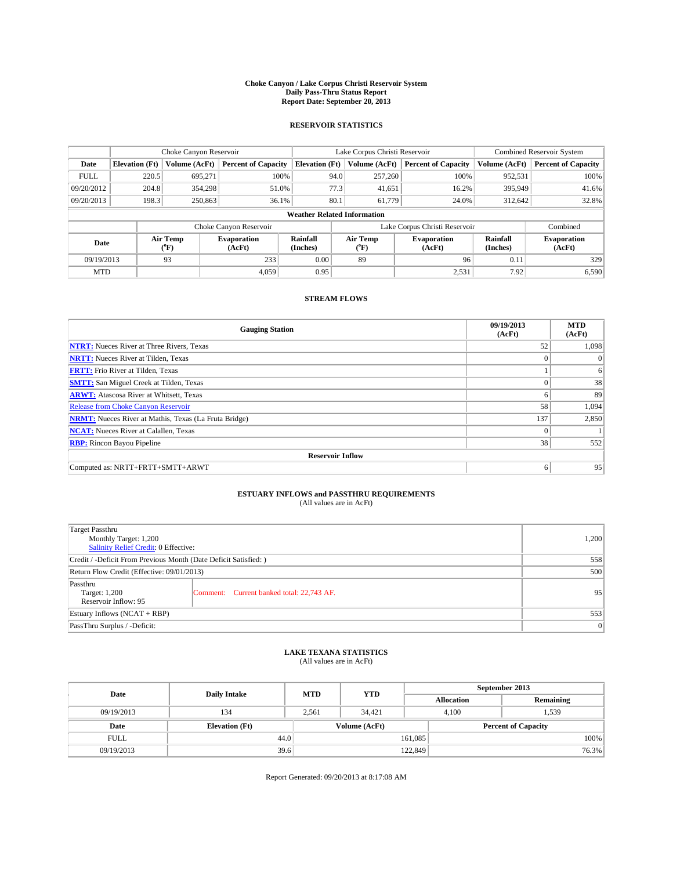### **Choke Canyon / Lake Corpus Christi Reservoir System Daily Pass-Thru Status Report Report Date: September 20, 2013**

### **RESERVOIR STATISTICS**

|             | Choke Canyon Reservoir |                  |                            |                       | Lake Corpus Christi Reservoir      | <b>Combined Reservoir System</b> |                      |                              |
|-------------|------------------------|------------------|----------------------------|-----------------------|------------------------------------|----------------------------------|----------------------|------------------------------|
| Date        | <b>Elevation</b> (Ft)  | Volume (AcFt)    | <b>Percent of Capacity</b> | <b>Elevation (Ft)</b> | Volume (AcFt)                      | <b>Percent of Capacity</b>       | Volume (AcFt)        | Percent of Capacity          |
| <b>FULL</b> | 220.5                  | 695,271          | 100%                       |                       | 94.0<br>257,260                    | 100%                             | 952,531              | 100%                         |
| 09/20/2012  | 204.8                  | 354,298          | 51.0%                      |                       | 77.3<br>41,651                     | 16.2%                            | 395,949              | 41.6%                        |
| 09/20/2013  | 198.3                  | 250,863          | 36.1%                      | 80.1                  | 61.779                             | 24.0%                            | 312.642              | 32.8%                        |
|             |                        |                  |                            |                       | <b>Weather Related Information</b> |                                  |                      |                              |
|             |                        |                  | Choke Canyon Reservoir     |                       |                                    | Lake Corpus Christi Reservoir    |                      | Combined                     |
| Date        |                        | Air Temp<br>(°F) | Evaporation<br>(AcFt)      | Rainfall<br>(Inches)  | Air Temp<br>("F)                   | <b>Evaporation</b><br>(AcFt)     | Rainfall<br>(Inches) | <b>Evaporation</b><br>(AcFt) |
| 09/19/2013  |                        | 93               | 233                        | 0.00                  | 89                                 | 96                               | 0.11                 | 329                          |
| <b>MTD</b>  |                        |                  | 4.059                      | 0.95                  |                                    | 2,531                            | 7.92                 | 6,590                        |

## **STREAM FLOWS**

| <b>Gauging Station</b>                                       | 09/19/2013<br>(AcFt) | <b>MTD</b><br>(AcFt) |  |  |  |  |
|--------------------------------------------------------------|----------------------|----------------------|--|--|--|--|
| <b>NTRT:</b> Nueces River at Three Rivers, Texas             | 52                   | 1,098                |  |  |  |  |
| <b>NRTT:</b> Nueces River at Tilden, Texas                   | $\theta$             | $\theta$             |  |  |  |  |
| <b>FRTT:</b> Frio River at Tilden, Texas                     |                      | 6                    |  |  |  |  |
| <b>SMTT:</b> San Miguel Creek at Tilden, Texas               | $\theta$             | 38                   |  |  |  |  |
| <b>ARWT:</b> Atascosa River at Whitsett, Texas               | 6                    | 89                   |  |  |  |  |
| <b>Release from Choke Canyon Reservoir</b>                   | 58                   | 1,094                |  |  |  |  |
| <b>NRMT:</b> Nueces River at Mathis, Texas (La Fruta Bridge) | 137                  | 2,850                |  |  |  |  |
| <b>NCAT:</b> Nueces River at Calallen, Texas                 | $\theta$             |                      |  |  |  |  |
| <b>RBP:</b> Rincon Bayou Pipeline                            | 38                   | 552                  |  |  |  |  |
| <b>Reservoir Inflow</b>                                      |                      |                      |  |  |  |  |
| Computed as: NRTT+FRTT+SMTT+ARWT                             | 6                    | 95                   |  |  |  |  |

# **ESTUARY INFLOWS and PASSTHRU REQUIREMENTS**<br>(All values are in AcFt)

| Target Passthru<br>Monthly Target: 1,200<br>Salinity Relief Credit: 0 Effective: | 1,200                                     |    |  |  |
|----------------------------------------------------------------------------------|-------------------------------------------|----|--|--|
| Credit / -Deficit From Previous Month (Date Deficit Satisfied: )                 |                                           |    |  |  |
| Return Flow Credit (Effective: 09/01/2013)                                       |                                           |    |  |  |
| Passthru<br>Target: 1,200<br>Reservoir Inflow: 95                                | Comment: Current banked total: 22,743 AF. | 95 |  |  |
| Estuary Inflows $(NCAT + RBP)$                                                   | 553                                       |    |  |  |
| PassThru Surplus / -Deficit:                                                     | 0                                         |    |  |  |

# **LAKE TEXANA STATISTICS** (All values are in AcFt)

| Date        | <b>Daily Intake</b>   | <b>MTD</b> | <b>YTD</b>    | September 2013    |                            |           |       |
|-------------|-----------------------|------------|---------------|-------------------|----------------------------|-----------|-------|
|             |                       |            |               | <b>Allocation</b> |                            | Remaining |       |
| 09/19/2013  | 134                   | 2.561      | 34.421        |                   | 1,539<br>4.100             |           |       |
| Date        | <b>Elevation</b> (Ft) |            | Volume (AcFt) |                   | <b>Percent of Capacity</b> |           |       |
| <b>FULL</b> | 44.0                  |            |               | 161,085           |                            |           | 100%  |
| 09/19/2013  | 39.6                  |            |               | 122,849           |                            |           | 76.3% |

Report Generated: 09/20/2013 at 8:17:08 AM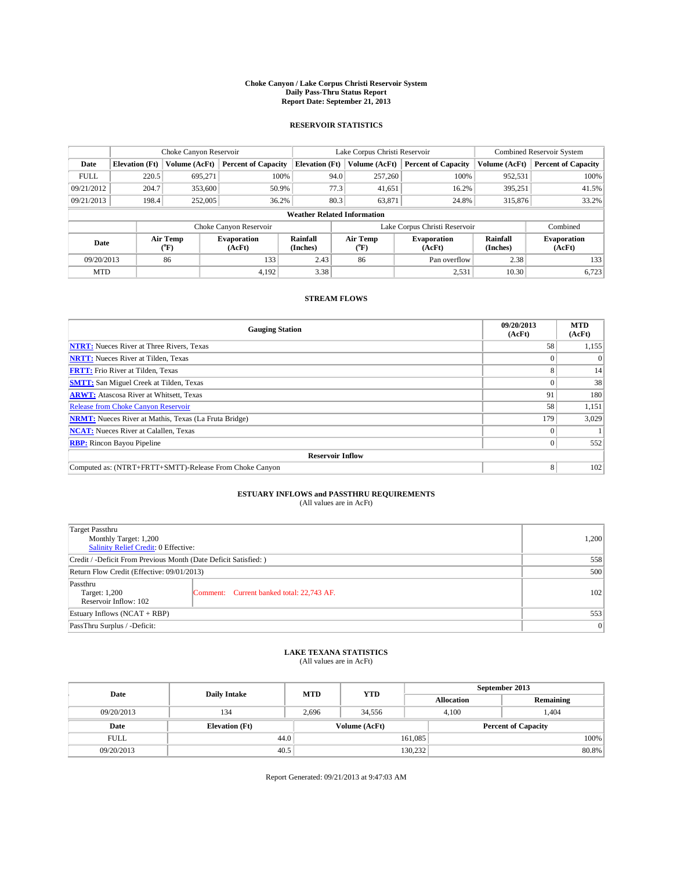### **Choke Canyon / Lake Corpus Christi Reservoir System Daily Pass-Thru Status Report Report Date: September 21, 2013**

### **RESERVOIR STATISTICS**

|             |                       | Choke Canyon Reservoir       |                            |                                    | Lake Corpus Christi Reservoir | <b>Combined Reservoir System</b> |               |                              |
|-------------|-----------------------|------------------------------|----------------------------|------------------------------------|-------------------------------|----------------------------------|---------------|------------------------------|
| Date        | <b>Elevation</b> (Ft) | Volume (AcFt)                | <b>Percent of Capacity</b> | <b>Elevation (Ft)</b>              | Volume (AcFt)                 | <b>Percent of Capacity</b>       | Volume (AcFt) | <b>Percent of Capacity</b>   |
| <b>FULL</b> | 220.5                 | 695.271                      | 100%                       | 94.0                               | 257,260                       | 100%                             | 952,531       | 100%                         |
| 09/21/2012  | 204.7                 | 353,600                      | 50.9%                      | 77.3                               | 41,651                        | 16.2%                            | 395,251       | 41.5%                        |
| 09/21/2013  | 198.4                 | 252,005                      | 36.2%                      | 80.3                               | 63,871                        | 24.8%                            | 315,876       | 33.2%                        |
|             |                       |                              |                            | <b>Weather Related Information</b> |                               |                                  |               |                              |
|             |                       |                              | Choke Canyon Reservoir     |                                    |                               | Lake Corpus Christi Reservoir    |               | Combined                     |
| Date        |                       | Air Temp<br>$\rm ^{(^o}\!F)$ | Evaporation<br>(AcFt)      | Rainfall<br>(Inches)               | Air Temp<br>$(^oF)$           | <b>Evaporation</b><br>(AcFt)     |               | <b>Evaporation</b><br>(AcFt) |
| 09/20/2013  |                       | 86                           | 133                        | 2.43                               | 86                            | Pan overflow                     | 2.38          | 133                          |
| <b>MTD</b>  |                       |                              | 4.192                      | 3.38                               |                               | 2,531                            | 10.30         | 6,723                        |

## **STREAM FLOWS**

| <b>Gauging Station</b>                                       | 09/20/2013<br>(AcFt) | <b>MTD</b><br>(AcFt) |  |  |  |  |
|--------------------------------------------------------------|----------------------|----------------------|--|--|--|--|
| <b>NTRT:</b> Nueces River at Three Rivers, Texas             | 58                   | 1,155                |  |  |  |  |
| <b>NRTT:</b> Nueces River at Tilden, Texas                   |                      | $\theta$             |  |  |  |  |
| <b>FRTT:</b> Frio River at Tilden, Texas                     |                      | 14                   |  |  |  |  |
| <b>SMTT:</b> San Miguel Creek at Tilden, Texas               |                      | 38                   |  |  |  |  |
| <b>ARWT:</b> Atascosa River at Whitsett, Texas               | 91                   | 180                  |  |  |  |  |
| <b>Release from Choke Canyon Reservoir</b>                   | 58                   | 1,151                |  |  |  |  |
| <b>NRMT:</b> Nueces River at Mathis, Texas (La Fruta Bridge) | 179                  | 3,029                |  |  |  |  |
| <b>NCAT:</b> Nueces River at Calallen, Texas                 |                      |                      |  |  |  |  |
| <b>RBP:</b> Rincon Bayou Pipeline                            | 0                    | 552                  |  |  |  |  |
| <b>Reservoir Inflow</b>                                      |                      |                      |  |  |  |  |
| Computed as: (NTRT+FRTT+SMTT)-Release From Choke Canyon      | 8                    | 102                  |  |  |  |  |

# **ESTUARY INFLOWS and PASSTHRU REQUIREMENTS**<br>(All values are in AcFt)

| Target Passthru                                                        |       |  |  |  |  |
|------------------------------------------------------------------------|-------|--|--|--|--|
| Monthly Target: 1,200                                                  | 1,200 |  |  |  |  |
| Salinity Relief Credit: 0 Effective:                                   |       |  |  |  |  |
| Credit / -Deficit From Previous Month (Date Deficit Satisfied: )       | 558   |  |  |  |  |
| Return Flow Credit (Effective: 09/01/2013)                             | 500   |  |  |  |  |
| Passthru<br>Comment: Current banked total: 22,743 AF.<br>Target: 1,200 | 102   |  |  |  |  |
| Reservoir Inflow: 102                                                  |       |  |  |  |  |
| Estuary Inflows (NCAT + RBP)                                           | 553   |  |  |  |  |
| PassThru Surplus / -Deficit:                                           | 0     |  |  |  |  |

# **LAKE TEXANA STATISTICS** (All values are in AcFt)

| Date        | <b>Daily Intake</b>   | <b>MTD</b> | <b>YTD</b>    | September 2013    |                            |           |  |
|-------------|-----------------------|------------|---------------|-------------------|----------------------------|-----------|--|
|             |                       |            |               | <b>Allocation</b> |                            | Remaining |  |
| 09/20/2013  | 134                   | 2,696      | 34.556        |                   | .404<br>4.100              |           |  |
| Date        | <b>Elevation</b> (Ft) |            | Volume (AcFt) |                   | <b>Percent of Capacity</b> |           |  |
| <b>FULL</b> | 44.0                  |            |               | 161,085           |                            | 100%      |  |
| 09/20/2013  | 40.5                  |            |               | 130,232           |                            | 80.8%     |  |

Report Generated: 09/21/2013 at 9:47:03 AM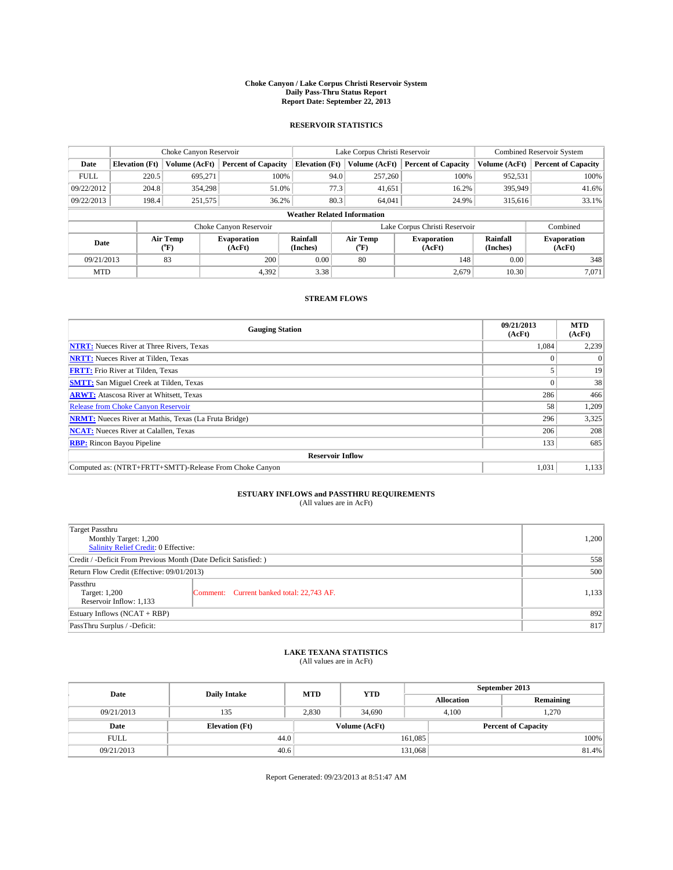### **Choke Canyon / Lake Corpus Christi Reservoir System Daily Pass-Thru Status Report Report Date: September 22, 2013**

### **RESERVOIR STATISTICS**

|             | Choke Canyon Reservoir |                  |                            |                                    | Lake Corpus Christi Reservoir | <b>Combined Reservoir System</b> |                      |                              |
|-------------|------------------------|------------------|----------------------------|------------------------------------|-------------------------------|----------------------------------|----------------------|------------------------------|
| Date        | <b>Elevation</b> (Ft)  | Volume (AcFt)    | <b>Percent of Capacity</b> | <b>Elevation (Ft)</b>              | Volume (AcFt)                 | <b>Percent of Capacity</b>       | Volume (AcFt)        | Percent of Capacity          |
| <b>FULL</b> | 220.5                  | 695,271          | 100%                       | 94.0                               | 257,260                       | 100%                             | 952,531              | 100%                         |
| 09/22/2012  | 204.8                  | 354,298          | 51.0%                      |                                    | 77.3<br>41,651                | 16.2%                            | 395,949              | 41.6%                        |
| 09/22/2013  | 198.4                  | 251,575          | 36.2%                      | 80.3                               | 64,041                        | 24.9%                            | 315,616              | $33.1\%$                     |
|             |                        |                  |                            | <b>Weather Related Information</b> |                               |                                  |                      |                              |
|             |                        |                  | Choke Canyon Reservoir     |                                    |                               | Lake Corpus Christi Reservoir    |                      | Combined                     |
| Date        |                        | Air Temp<br>(°F) | Evaporation<br>(AcFt)      | Rainfall<br>(Inches)               | Air Temp<br>("F)              | <b>Evaporation</b><br>(AcFt)     | Rainfall<br>(Inches) | <b>Evaporation</b><br>(AcFt) |
| 09/21/2013  |                        | 83               | 200                        | 0.00                               | 80                            | 148                              | 0.00                 | 348                          |
| <b>MTD</b>  |                        |                  | 4,392                      | 3.38                               |                               | 2,679                            | 10.30                | 7.071                        |

### **STREAM FLOWS**

| <b>Gauging Station</b>                                       | 09/21/2013<br>(AcFt) | <b>MTD</b><br>(AcFt) |  |  |  |
|--------------------------------------------------------------|----------------------|----------------------|--|--|--|
| <b>NTRT:</b> Nueces River at Three Rivers, Texas             | 1,084                | 2,239                |  |  |  |
| <b>NRTT:</b> Nueces River at Tilden, Texas                   |                      | $\Omega$             |  |  |  |
| <b>FRTT:</b> Frio River at Tilden, Texas                     |                      |                      |  |  |  |
| <b>SMTT:</b> San Miguel Creek at Tilden, Texas               |                      | 38                   |  |  |  |
| <b>ARWT:</b> Atascosa River at Whitsett, Texas               | 286                  | 466                  |  |  |  |
| <b>Release from Choke Canyon Reservoir</b>                   | 58                   | 1,209                |  |  |  |
| <b>NRMT:</b> Nueces River at Mathis, Texas (La Fruta Bridge) | 296                  | 3,325                |  |  |  |
| 206<br><b>NCAT:</b> Nueces River at Calallen, Texas          |                      |                      |  |  |  |
| <b>RBP:</b> Rincon Bayou Pipeline                            | 133                  | 685                  |  |  |  |
| <b>Reservoir Inflow</b>                                      |                      |                      |  |  |  |
| Computed as: (NTRT+FRTT+SMTT)-Release From Choke Canyon      | 1,031                | 1,133                |  |  |  |

# **ESTUARY INFLOWS and PASSTHRU REQUIREMENTS**<br>(All values are in AcFt)

| Target Passthru<br>Monthly Target: 1,200<br>Salinity Relief Credit: 0 Effective: |                                           |       |  |  |
|----------------------------------------------------------------------------------|-------------------------------------------|-------|--|--|
| Credit / -Deficit From Previous Month (Date Deficit Satisfied: )                 |                                           |       |  |  |
| Return Flow Credit (Effective: 09/01/2013)                                       |                                           |       |  |  |
| Passthru<br>Target: 1,200<br>Reservoir Inflow: 1,133                             | Comment: Current banked total: 22,743 AF. | 1,133 |  |  |
| Estuary Inflows (NCAT + RBP)                                                     | 892                                       |       |  |  |
| PassThru Surplus / -Deficit:                                                     | 817                                       |       |  |  |

## **LAKE TEXANA STATISTICS** (All values are in AcFt)

| Date        | <b>Daily Intake</b>   | <b>MTD</b> | <b>YTD</b>    | September 2013    |                            |           |       |
|-------------|-----------------------|------------|---------------|-------------------|----------------------------|-----------|-------|
|             |                       |            |               | <b>Allocation</b> |                            | Remaining |       |
| 09/21/2013  | 135                   | 2.830      | 34,690        |                   | 1,270<br>4.100             |           |       |
| Date        | <b>Elevation</b> (Ft) |            | Volume (AcFt) |                   | <b>Percent of Capacity</b> |           |       |
| <b>FULL</b> | 44.0                  |            |               | 161,085           |                            |           | 100%  |
| 09/21/2013  | 40.6                  |            |               | 131,068           |                            |           | 81.4% |

Report Generated: 09/23/2013 at 8:51:47 AM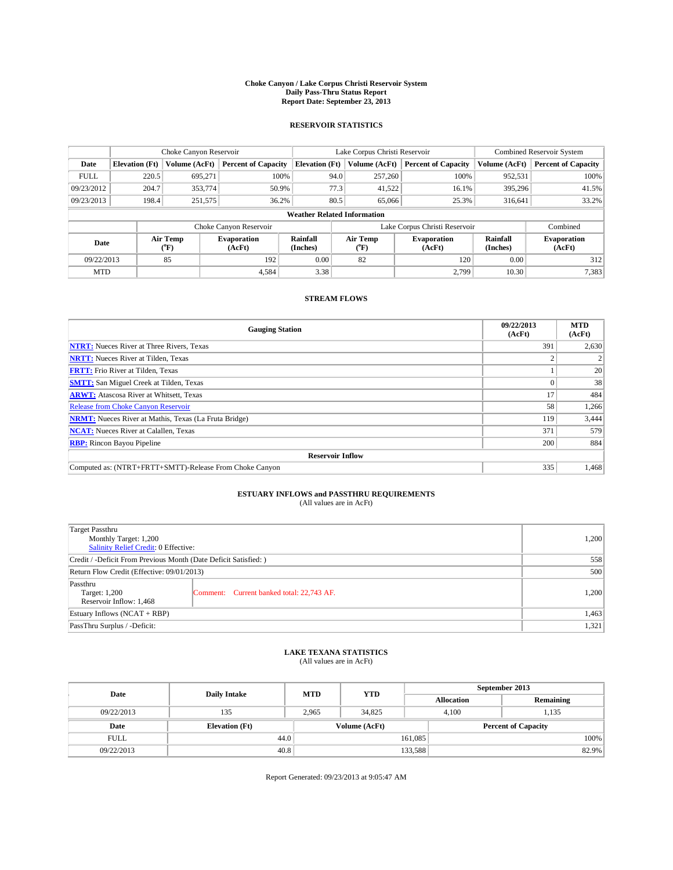### **Choke Canyon / Lake Corpus Christi Reservoir System Daily Pass-Thru Status Report Report Date: September 23, 2013**

### **RESERVOIR STATISTICS**

|             | Choke Canyon Reservoir |                  |                              |                                    | Lake Corpus Christi Reservoir | <b>Combined Reservoir System</b> |                      |                              |
|-------------|------------------------|------------------|------------------------------|------------------------------------|-------------------------------|----------------------------------|----------------------|------------------------------|
| Date        | <b>Elevation</b> (Ft)  | Volume (AcFt)    | <b>Percent of Capacity</b>   | <b>Elevation (Ft)</b>              | Volume (AcFt)                 | <b>Percent of Capacity</b>       | Volume (AcFt)        | <b>Percent of Capacity</b>   |
| <b>FULL</b> | 220.5                  | 695.271          | 100%                         | 94.0                               | 257,260                       | 100%                             | 952,531              | 100%                         |
| 09/23/2012  | 204.7                  | 353,774          | 50.9%                        | 77.3                               | 41,522                        | 16.1%                            | 395,296              | 41.5%                        |
| 09/23/2013  | 198.4                  | 251,575          | 36.2%                        | 80.5                               | 65,066                        | 25.3%                            | 316,641              | 33.2%                        |
|             |                        |                  |                              | <b>Weather Related Information</b> |                               |                                  |                      |                              |
|             |                        |                  | Choke Canyon Reservoir       |                                    |                               | Lake Corpus Christi Reservoir    |                      | Combined                     |
| Date        |                        | Air Temp<br>(°F) | <b>Evaporation</b><br>(AcFt) | Rainfall<br>(Inches)               | Air Temp<br>$(^{0}F)$         | <b>Evaporation</b><br>(AcFt)     | Rainfall<br>(Inches) | <b>Evaporation</b><br>(AcFt) |
| 09/22/2013  |                        | 85               | 192                          | 0.00                               | 82                            | 120                              | 0.00                 | 312                          |
| <b>MTD</b>  |                        |                  | 4.584                        | 3.38                               |                               | 2,799                            | 10.30                | 7,383                        |

## **STREAM FLOWS**

| <b>Gauging Station</b>                                       | 09/22/2013<br>(AcFt) | <b>MTD</b><br>(AcFt) |  |  |  |  |
|--------------------------------------------------------------|----------------------|----------------------|--|--|--|--|
| <b>NTRT:</b> Nueces River at Three Rivers, Texas             | 391                  | 2,630                |  |  |  |  |
| <b>NRTT:</b> Nueces River at Tilden, Texas                   |                      |                      |  |  |  |  |
| <b>FRTT:</b> Frio River at Tilden, Texas                     |                      |                      |  |  |  |  |
| <b>SMTT:</b> San Miguel Creek at Tilden, Texas               |                      | 38                   |  |  |  |  |
| <b>ARWT:</b> Atascosa River at Whitsett, Texas               | 17                   | 484                  |  |  |  |  |
| Release from Choke Canyon Reservoir                          | 58                   | 1,266                |  |  |  |  |
| <b>NRMT:</b> Nueces River at Mathis, Texas (La Fruta Bridge) |                      |                      |  |  |  |  |
| 371<br><b>NCAT:</b> Nueces River at Calallen, Texas          |                      |                      |  |  |  |  |
| <b>RBP:</b> Rincon Bayou Pipeline                            | 200                  | 884                  |  |  |  |  |
| <b>Reservoir Inflow</b>                                      |                      |                      |  |  |  |  |
| Computed as: (NTRT+FRTT+SMTT)-Release From Choke Canyon      | 335                  | 1,468                |  |  |  |  |

# **ESTUARY INFLOWS and PASSTHRU REQUIREMENTS**<br>(All values are in AcFt)

| <b>Target Passthru</b><br>Monthly Target: 1,200<br>Salinity Relief Credit: 0 Effective: |                                           |       |  |  |
|-----------------------------------------------------------------------------------------|-------------------------------------------|-------|--|--|
| Credit / -Deficit From Previous Month (Date Deficit Satisfied: )                        |                                           |       |  |  |
| Return Flow Credit (Effective: 09/01/2013)                                              |                                           |       |  |  |
| Passthru<br>Target: 1,200<br>Reservoir Inflow: 1,468                                    | Comment: Current banked total: 22,743 AF. | 1,200 |  |  |
| Estuary Inflows $(NCAT + RBP)$                                                          | 1,463                                     |       |  |  |
| PassThru Surplus / -Deficit:                                                            | 1,321                                     |       |  |  |

# **LAKE TEXANA STATISTICS** (All values are in AcFt)

| Date        | <b>Daily Intake</b>   | <b>MTD</b> | <b>YTD</b>    | September 2013    |                            |           |       |
|-------------|-----------------------|------------|---------------|-------------------|----------------------------|-----------|-------|
|             |                       |            |               | <b>Allocation</b> |                            | Remaining |       |
| 09/22/2013  | 135                   | 2.965      | 34,825        |                   | 1,135<br>4.100             |           |       |
| Date        | <b>Elevation</b> (Ft) |            | Volume (AcFt) |                   | <b>Percent of Capacity</b> |           |       |
| <b>FULL</b> | 44.0                  |            |               | 161,085           |                            |           | 100%  |
| 09/22/2013  | 40.8                  |            |               | 133,588           |                            |           | 82.9% |

Report Generated: 09/23/2013 at 9:05:47 AM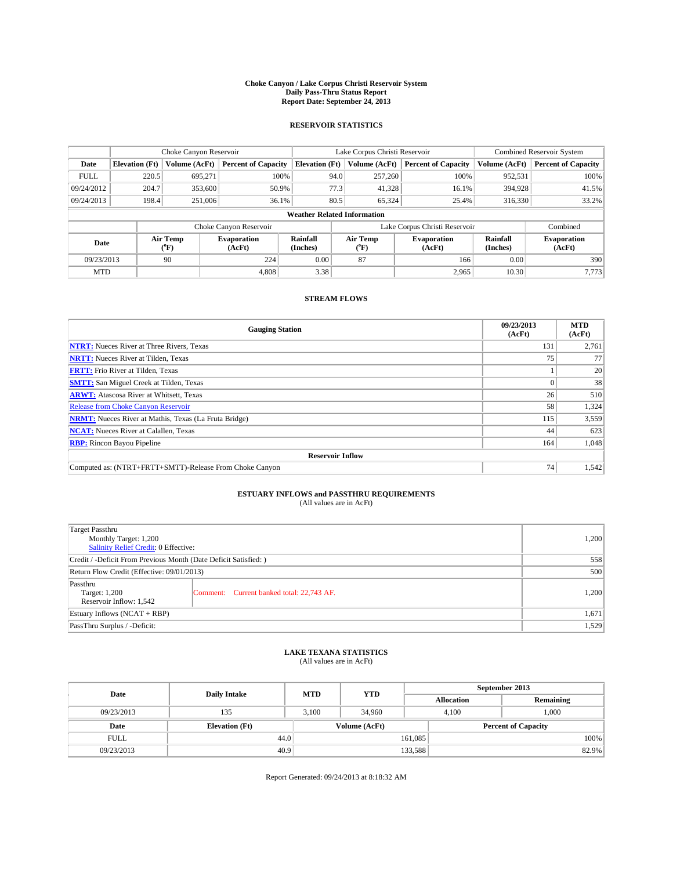### **Choke Canyon / Lake Corpus Christi Reservoir System Daily Pass-Thru Status Report Report Date: September 24, 2013**

### **RESERVOIR STATISTICS**

|             | Choke Canyon Reservoir |                  |                              |                                    | Lake Corpus Christi Reservoir | <b>Combined Reservoir System</b> |                      |                              |
|-------------|------------------------|------------------|------------------------------|------------------------------------|-------------------------------|----------------------------------|----------------------|------------------------------|
| Date        | <b>Elevation</b> (Ft)  | Volume (AcFt)    | <b>Percent of Capacity</b>   | <b>Elevation (Ft)</b>              | Volume (AcFt)                 | <b>Percent of Capacity</b>       | Volume (AcFt)        | <b>Percent of Capacity</b>   |
| <b>FULL</b> | 220.5                  | 695,271          | 100%                         | 94.0                               | 257,260                       | 100%                             | 952,531              | 100%                         |
| 09/24/2012  | 204.7                  | 353,600          | 50.9%                        | 77.3                               | 41,328                        | 16.1%                            | 394,928              | 41.5%                        |
| 09/24/2013  | 198.4                  | 251,006          | 36.1%                        | 80.5                               | 65,324                        | 25.4%                            | 316,330              | 33.2%                        |
|             |                        |                  |                              | <b>Weather Related Information</b> |                               |                                  |                      |                              |
|             |                        |                  | Choke Canyon Reservoir       |                                    |                               | Lake Corpus Christi Reservoir    |                      | Combined                     |
| Date        |                        | Air Temp<br>(°F) | <b>Evaporation</b><br>(AcFt) | Rainfall<br>(Inches)               | Air Temp<br>(°F)              | <b>Evaporation</b><br>(AcFt)     | Rainfall<br>(Inches) | <b>Evaporation</b><br>(AcFt) |
| 09/23/2013  |                        | 90               | 224                          | 0.00                               | 87                            | 166                              | 0.00                 | 390                          |
| <b>MTD</b>  |                        |                  | 4.808                        | 3.38                               |                               | 2,965                            | 10.30                | 7,773                        |

### **STREAM FLOWS**

| <b>Gauging Station</b>                                       | 09/23/2013<br>(AcFt) | <b>MTD</b><br>(AcFt) |  |  |  |
|--------------------------------------------------------------|----------------------|----------------------|--|--|--|
| <b>NTRT:</b> Nueces River at Three Rivers, Texas             | 131                  | 2,761                |  |  |  |
| <b>NRTT:</b> Nueces River at Tilden, Texas                   | 75                   | 77                   |  |  |  |
| <b>FRTT:</b> Frio River at Tilden, Texas                     |                      | 20                   |  |  |  |
| <b>SMTT:</b> San Miguel Creek at Tilden, Texas               |                      | 38                   |  |  |  |
| <b>ARWT:</b> Atascosa River at Whitsett, Texas               | 26                   | 510                  |  |  |  |
| Release from Choke Canyon Reservoir                          | 58                   | 1,324                |  |  |  |
| <b>NRMT:</b> Nueces River at Mathis, Texas (La Fruta Bridge) | 115                  | 3,559                |  |  |  |
| <b>NCAT:</b> Nueces River at Calallen, Texas                 | 44                   | 623                  |  |  |  |
| <b>RBP:</b> Rincon Bayou Pipeline                            | 164                  | 1,048                |  |  |  |
| <b>Reservoir Inflow</b>                                      |                      |                      |  |  |  |
| Computed as: (NTRT+FRTT+SMTT)-Release From Choke Canyon      | 74 <sub>1</sub>      | 1,542                |  |  |  |

# **ESTUARY INFLOWS and PASSTHRU REQUIREMENTS**<br>(All values are in AcFt)

| Target Passthru                                                  |                                           |       |  |  |
|------------------------------------------------------------------|-------------------------------------------|-------|--|--|
| Monthly Target: 1,200                                            |                                           | 1,200 |  |  |
| Salinity Relief Credit: 0 Effective:                             |                                           |       |  |  |
| Credit / -Deficit From Previous Month (Date Deficit Satisfied: ) |                                           |       |  |  |
| Return Flow Credit (Effective: 09/01/2013)                       |                                           |       |  |  |
| Passthru<br>Target: 1,200<br>Reservoir Inflow: 1,542             | Comment: Current banked total: 22,743 AF. | 1,200 |  |  |
| Estuary Inflows (NCAT + RBP)                                     |                                           |       |  |  |
| PassThru Surplus / -Deficit:                                     | 1,529                                     |       |  |  |

# **LAKE TEXANA STATISTICS** (All values are in AcFt)

| Date        | <b>Daily Intake</b>   | <b>MTD</b> | <b>YTD</b>    | September 2013    |                            |           |  |
|-------------|-----------------------|------------|---------------|-------------------|----------------------------|-----------|--|
|             |                       |            |               | <b>Allocation</b> |                            | Remaining |  |
| 09/23/2013  | 135                   | 3.100      | 34,960        |                   | 1.000<br>4.100             |           |  |
| Date        | <b>Elevation</b> (Ft) |            | Volume (AcFt) |                   | <b>Percent of Capacity</b> |           |  |
| <b>FULL</b> | 44.0                  |            |               | 161,085           |                            | 100%      |  |
| 09/23/2013  | 40.9                  |            |               | 133,588           |                            | 82.9%     |  |

Report Generated: 09/24/2013 at 8:18:32 AM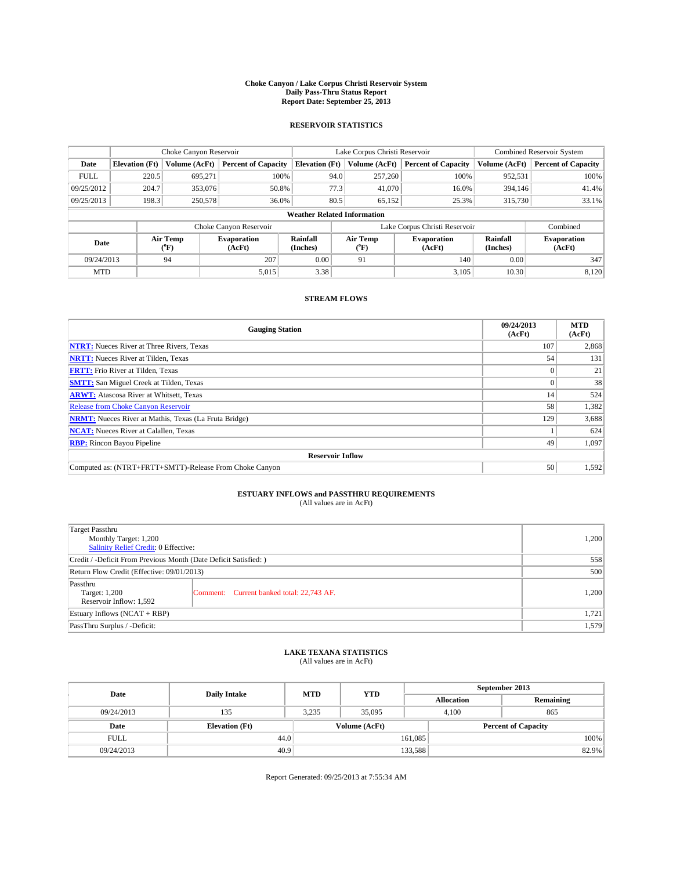### **Choke Canyon / Lake Corpus Christi Reservoir System Daily Pass-Thru Status Report Report Date: September 25, 2013**

### **RESERVOIR STATISTICS**

|             |                                    | Choke Canyon Reservoir |                              |                       | Lake Corpus Christi Reservoir | <b>Combined Reservoir System</b> |                      |                              |  |
|-------------|------------------------------------|------------------------|------------------------------|-----------------------|-------------------------------|----------------------------------|----------------------|------------------------------|--|
| Date        | <b>Elevation</b> (Ft)              | Volume (AcFt)          | <b>Percent of Capacity</b>   | <b>Elevation (Ft)</b> | Volume (AcFt)                 | <b>Percent of Capacity</b>       | Volume (AcFt)        | Percent of Capacity          |  |
| <b>FULL</b> | 220.5                              | 695,271                | 100%                         | 94.0                  | 257,260                       | 100%                             | 952,531              | 100%                         |  |
| 09/25/2012  | 204.7                              | 353,076                | 50.8%                        | 77.3                  | 41,070                        | 16.0%                            | 394,146              | 41.4%                        |  |
| 09/25/2013  | 198.3                              | 250,578                | 36.0%                        | 80.5                  | 65,152                        | 25.3%                            | 315,730              | $33.1\%$                     |  |
|             | <b>Weather Related Information</b> |                        |                              |                       |                               |                                  |                      |                              |  |
|             |                                    |                        | Choke Canyon Reservoir       |                       |                               | Lake Corpus Christi Reservoir    |                      | Combined                     |  |
| Date        |                                    | Air Temp<br>(°F)       | <b>Evaporation</b><br>(AcFt) | Rainfall<br>(Inches)  | Air Temp<br>("F)              | <b>Evaporation</b><br>(AcFt)     | Rainfall<br>(Inches) | <b>Evaporation</b><br>(AcFt) |  |
| 09/24/2013  |                                    | 94                     | 207                          | 0.00                  | 91                            | 140                              | 0.00                 | 347                          |  |
| <b>MTD</b>  |                                    |                        | 5,015                        | 3.38                  |                               | 3,105                            | 10.30                | 8,120                        |  |

### **STREAM FLOWS**

| <b>Gauging Station</b>                                       | 09/24/2013<br>(AcFt) | <b>MTD</b><br>(AcFt) |  |  |  |  |
|--------------------------------------------------------------|----------------------|----------------------|--|--|--|--|
| <b>NTRT:</b> Nueces River at Three Rivers, Texas             | 107                  | 2,868                |  |  |  |  |
| <b>NRTT:</b> Nueces River at Tilden, Texas                   | 54                   | 131                  |  |  |  |  |
| <b>FRTT:</b> Frio River at Tilden, Texas                     |                      | 21                   |  |  |  |  |
| <b>SMTT:</b> San Miguel Creek at Tilden, Texas               |                      | 38                   |  |  |  |  |
| <b>ARWT:</b> Atascosa River at Whitsett, Texas               | 14                   | 524                  |  |  |  |  |
| Release from Choke Canyon Reservoir                          | 58                   | 1,382                |  |  |  |  |
| <b>NRMT:</b> Nueces River at Mathis, Texas (La Fruta Bridge) | 129                  | 3,688                |  |  |  |  |
| <b>NCAT:</b> Nueces River at Calallen, Texas                 |                      | 624                  |  |  |  |  |
| <b>RBP:</b> Rincon Bayou Pipeline                            | 49                   | 1,097                |  |  |  |  |
| <b>Reservoir Inflow</b>                                      |                      |                      |  |  |  |  |
| Computed as: (NTRT+FRTT+SMTT)-Release From Choke Canyon      | 50                   | 1,592                |  |  |  |  |

## **ESTUARY INFLOWS and PASSTHRU REQUIREMENTS**<br>(All values are in AcFt)

| Target Passthru<br>Monthly Target: 1,200                         | 1,200                                     |       |  |  |
|------------------------------------------------------------------|-------------------------------------------|-------|--|--|
| Salinity Relief Credit: 0 Effective:                             |                                           |       |  |  |
| Credit / -Deficit From Previous Month (Date Deficit Satisfied: ) |                                           |       |  |  |
| Return Flow Credit (Effective: 09/01/2013)                       |                                           |       |  |  |
| Passthru<br>Target: 1,200<br>Reservoir Inflow: 1,592             | Comment: Current banked total: 22,743 AF. | 1,200 |  |  |
| Estuary Inflows (NCAT + RBP)                                     | 1,721                                     |       |  |  |
| PassThru Surplus / -Deficit:                                     | 1,579                                     |       |  |  |

## **LAKE TEXANA STATISTICS** (All values are in AcFt)

| Date        | <b>Daily Intake</b>   | <b>MTD</b>    | <b>YTD</b> | September 2013             |  |           |       |
|-------------|-----------------------|---------------|------------|----------------------------|--|-----------|-------|
|             |                       |               |            | <b>Allocation</b>          |  | Remaining |       |
| 09/24/2013  | 135                   | 3.235         | 35,095     | 4.100                      |  | 865       |       |
| Date        | <b>Elevation</b> (Ft) | Volume (AcFt) |            | <b>Percent of Capacity</b> |  |           |       |
| <b>FULL</b> | 44.0                  |               |            | 161,085                    |  |           | 100%  |
| 09/24/2013  | 40.9                  |               |            | 133,588                    |  |           | 82.9% |

Report Generated: 09/25/2013 at 7:55:34 AM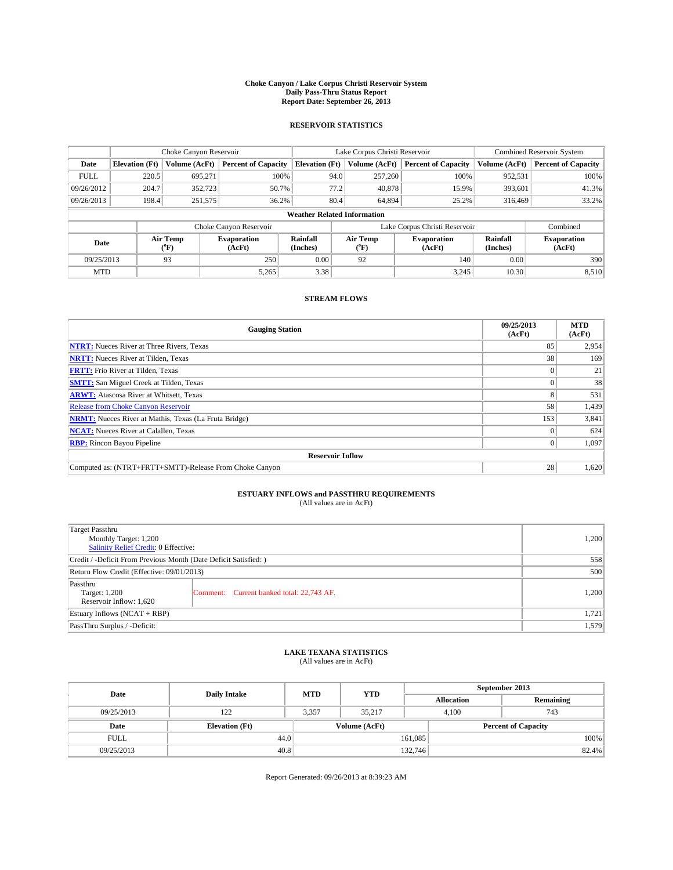### **Choke Canyon / Lake Corpus Christi Reservoir System Daily Pass-Thru Status Report Report Date: September 26, 2013**

### **RESERVOIR STATISTICS**

|             |                                    | Choke Canyon Reservoir |                            |                       | Lake Corpus Christi Reservoir | <b>Combined Reservoir System</b> |                      |                              |  |
|-------------|------------------------------------|------------------------|----------------------------|-----------------------|-------------------------------|----------------------------------|----------------------|------------------------------|--|
| Date        | <b>Elevation</b> (Ft)              | Volume (AcFt)          | <b>Percent of Capacity</b> | <b>Elevation (Ft)</b> | Volume (AcFt)                 | <b>Percent of Capacity</b>       | Volume (AcFt)        | Percent of Capacity          |  |
| <b>FULL</b> | 220.5                              | 695,271                | 100%                       | 94.0                  | 257,260                       | 100%                             | 952,531              | 100%                         |  |
| 09/26/2012  | 204.7                              | 352,723                | 50.7%                      |                       | 77.2<br>40,878                | 15.9%                            | 393,601              | 41.3%                        |  |
| 09/26/2013  | 198.4                              | 251,575                | 36.2%                      | 80.4                  | 64.894                        | 25.2%                            | 316,469              | $33.2\%$                     |  |
|             | <b>Weather Related Information</b> |                        |                            |                       |                               |                                  |                      |                              |  |
|             |                                    |                        | Choke Canyon Reservoir     |                       | Lake Corpus Christi Reservoir |                                  |                      | Combined                     |  |
| Date        |                                    | Air Temp<br>(°F)       | Evaporation<br>(AcFt)      | Rainfall<br>(Inches)  | Air Temp<br>("F)              | <b>Evaporation</b><br>(AcFt)     | Rainfall<br>(Inches) | <b>Evaporation</b><br>(AcFt) |  |
| 09/25/2013  |                                    | 93                     | 0.00<br>250<br>92          |                       | 140                           | 0.00                             | 390                  |                              |  |
| <b>MTD</b>  |                                    |                        | 5,265                      | 3.38                  |                               | 3,245                            | 10.30                | 8,510                        |  |

### **STREAM FLOWS**

| <b>Gauging Station</b>                                       | 09/25/2013<br>(AcFt) | <b>MTD</b><br>(AcFt) |  |  |  |  |
|--------------------------------------------------------------|----------------------|----------------------|--|--|--|--|
| <b>NTRT:</b> Nueces River at Three Rivers, Texas             | 85                   | 2,954                |  |  |  |  |
| <b>NRTT:</b> Nueces River at Tilden, Texas                   | 38                   | 169                  |  |  |  |  |
| <b>FRTT:</b> Frio River at Tilden, Texas                     |                      | 21                   |  |  |  |  |
| <b>SMTT:</b> San Miguel Creek at Tilden, Texas               |                      | 38                   |  |  |  |  |
| <b>ARWT:</b> Atascosa River at Whitsett, Texas               | 8                    | 531                  |  |  |  |  |
| Release from Choke Canyon Reservoir                          | 58                   | 1,439                |  |  |  |  |
| <b>NRMT:</b> Nueces River at Mathis, Texas (La Fruta Bridge) | 153                  | 3,841                |  |  |  |  |
| <b>NCAT:</b> Nueces River at Calallen, Texas                 |                      | 624                  |  |  |  |  |
| <b>RBP:</b> Rincon Bayou Pipeline                            | $\Omega$             | 1,097                |  |  |  |  |
| <b>Reservoir Inflow</b>                                      |                      |                      |  |  |  |  |
| Computed as: (NTRT+FRTT+SMTT)-Release From Choke Canyon      | 28                   | 1,620                |  |  |  |  |

## **ESTUARY INFLOWS and PASSTHRU REQUIREMENTS**<br>(All values are in AcFt)

| Target Passthru<br>Monthly Target: 1,200<br>Salinity Relief Credit: 0 Effective: |                                           |       |  |  |
|----------------------------------------------------------------------------------|-------------------------------------------|-------|--|--|
| Credit / -Deficit From Previous Month (Date Deficit Satisfied: )                 |                                           |       |  |  |
| Return Flow Credit (Effective: 09/01/2013)                                       |                                           |       |  |  |
| Passthru<br>Target: 1,200<br>Reservoir Inflow: 1,620                             | Comment: Current banked total: 22,743 AF. | 1,200 |  |  |
| Estuary Inflows (NCAT + RBP)                                                     |                                           |       |  |  |
| PassThru Surplus / -Deficit:                                                     |                                           |       |  |  |

## **LAKE TEXANA STATISTICS** (All values are in AcFt)

| Date        | <b>Daily Intake</b>   | <b>MTD</b> | <b>YTD</b>    | September 2013 |                            |           |  |
|-------------|-----------------------|------------|---------------|----------------|----------------------------|-----------|--|
|             |                       |            |               |                | <b>Allocation</b>          | Remaining |  |
| 09/25/2013  | 122                   | 3.357      | 35.217        |                | 743<br>4.100               |           |  |
| Date        | <b>Elevation</b> (Ft) |            | Volume (AcFt) |                | <b>Percent of Capacity</b> |           |  |
| <b>FULL</b> | 44.0                  |            |               | 161,085        |                            | 100%      |  |
| 09/25/2013  | 40.8                  |            |               | 132,746        |                            | 82.4%     |  |

Report Generated: 09/26/2013 at 8:39:23 AM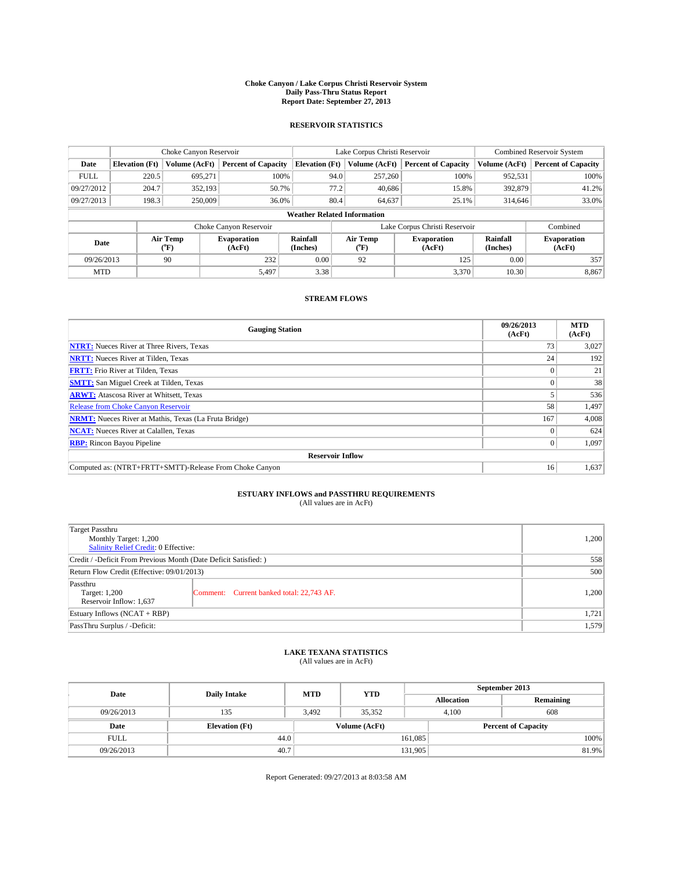### **Choke Canyon / Lake Corpus Christi Reservoir System Daily Pass-Thru Status Report Report Date: September 27, 2013**

### **RESERVOIR STATISTICS**

|                                    | Choke Canyon Reservoir |                  |                            |                       | Lake Corpus Christi Reservoir | <b>Combined Reservoir System</b> |                      |                              |
|------------------------------------|------------------------|------------------|----------------------------|-----------------------|-------------------------------|----------------------------------|----------------------|------------------------------|
| Date                               | <b>Elevation</b> (Ft)  | Volume (AcFt)    | <b>Percent of Capacity</b> | <b>Elevation (Ft)</b> | Volume (AcFt)                 | <b>Percent of Capacity</b>       | Volume (AcFt)        | Percent of Capacity          |
| <b>FULL</b>                        | 220.5                  | 695,271          | 100%                       | 94.0                  | 257,260                       | 100%                             | 952,531              | 100%                         |
| 09/27/2012                         | 204.7                  | 352,193          | 50.7%                      | 77.2                  | 40,686                        | 15.8%                            | 392,879              | 41.2%                        |
| 09/27/2013                         | 198.3                  | 250,009          | 36.0%                      | 80.4                  | 64,637                        | 25.1%                            | 314,646              | 33.0%                        |
| <b>Weather Related Information</b> |                        |                  |                            |                       |                               |                                  |                      |                              |
|                                    |                        |                  | Choke Canyon Reservoir     |                       | Lake Corpus Christi Reservoir |                                  |                      | Combined                     |
| Date                               |                        | Air Temp<br>(°F) | Evaporation<br>(AcFt)      | Rainfall<br>(Inches)  | Air Temp<br>("F)              | <b>Evaporation</b><br>(AcFt)     | Rainfall<br>(Inches) | <b>Evaporation</b><br>(AcFt) |
| 09/26/2013                         |                        | 90               | 232                        | 0.00                  | 92                            | 125                              | 0.00                 | 357                          |
| <b>MTD</b>                         |                        |                  | 5,497                      | 3.38                  |                               | 3,370                            | 10.30                | 8,867                        |

### **STREAM FLOWS**

| <b>Gauging Station</b>                                       | 09/26/2013<br>(AcFt) | <b>MTD</b><br>(AcFt) |  |  |  |  |
|--------------------------------------------------------------|----------------------|----------------------|--|--|--|--|
| <b>NTRT:</b> Nueces River at Three Rivers, Texas             | 73                   | 3,027                |  |  |  |  |
| <b>NRTT:</b> Nueces River at Tilden, Texas                   | 24                   | 192                  |  |  |  |  |
| <b>FRTT:</b> Frio River at Tilden, Texas                     |                      | 21                   |  |  |  |  |
| <b>SMTT:</b> San Miguel Creek at Tilden, Texas               |                      | 38                   |  |  |  |  |
| <b>ARWT:</b> Atascosa River at Whitsett, Texas               |                      | 536                  |  |  |  |  |
| Release from Choke Canyon Reservoir                          | 58                   | 1,497                |  |  |  |  |
| <b>NRMT:</b> Nueces River at Mathis, Texas (La Fruta Bridge) | 167                  | 4,008                |  |  |  |  |
| <b>NCAT:</b> Nueces River at Calallen, Texas                 |                      | 624                  |  |  |  |  |
| <b>RBP:</b> Rincon Bayou Pipeline                            | $\Omega$             | 1,097                |  |  |  |  |
| <b>Reservoir Inflow</b>                                      |                      |                      |  |  |  |  |
| Computed as: (NTRT+FRTT+SMTT)-Release From Choke Canyon      | 16                   | 1,637                |  |  |  |  |

## **ESTUARY INFLOWS and PASSTHRU REQUIREMENTS**<br>(All values are in AcFt)

| Target Passthru<br>Monthly Target: 1,200                         |                                           |       |  |  |
|------------------------------------------------------------------|-------------------------------------------|-------|--|--|
| Salinity Relief Credit: 0 Effective:                             |                                           |       |  |  |
| Credit / -Deficit From Previous Month (Date Deficit Satisfied: ) |                                           |       |  |  |
| Return Flow Credit (Effective: 09/01/2013)                       |                                           |       |  |  |
| Passthru<br>Target: 1,200<br>Reservoir Inflow: 1,637             | Comment: Current banked total: 22,743 AF. | 1,200 |  |  |
| Estuary Inflows (NCAT + RBP)                                     | 1,721                                     |       |  |  |
| PassThru Surplus / -Deficit:                                     | 1,579                                     |       |  |  |

## **LAKE TEXANA STATISTICS** (All values are in AcFt)

| Date        | <b>Daily Intake</b>   | <b>MTD</b> | <b>YTD</b>    | September 2013    |                            |  |  |
|-------------|-----------------------|------------|---------------|-------------------|----------------------------|--|--|
|             |                       |            |               | <b>Allocation</b> | Remaining                  |  |  |
| 09/26/2013  | 135                   | 3.492      | 35.352        | 4.100             | 608                        |  |  |
| Date        | <b>Elevation</b> (Ft) |            | Volume (AcFt) |                   | <b>Percent of Capacity</b> |  |  |
| <b>FULL</b> | 44.0                  |            |               | 161,085           | 100%                       |  |  |
| 09/26/2013  | 40.7                  |            |               | 131,905           | 81.9%                      |  |  |

Report Generated: 09/27/2013 at 8:03:58 AM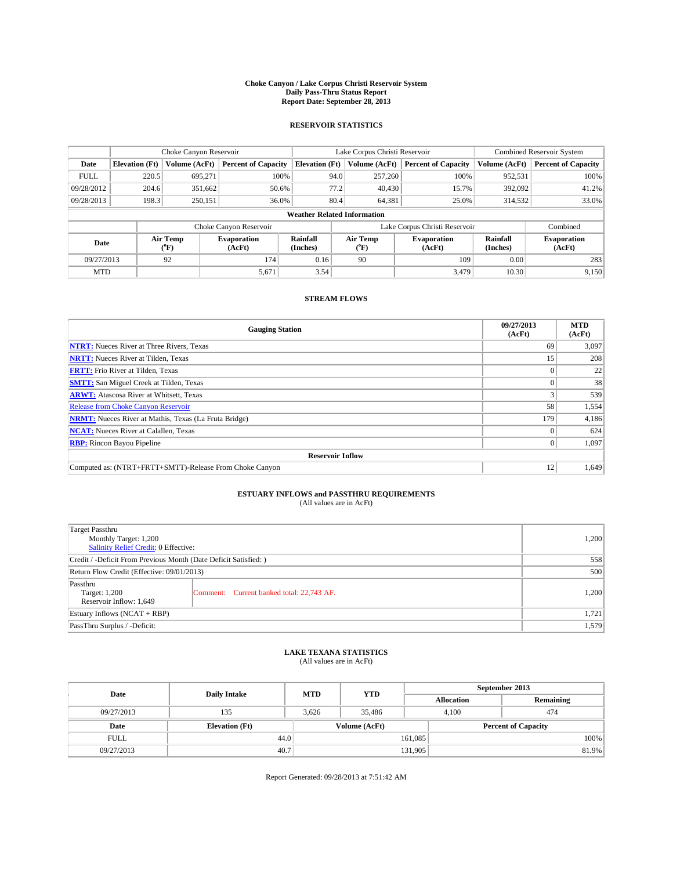### **Choke Canyon / Lake Corpus Christi Reservoir System Daily Pass-Thru Status Report Report Date: September 28, 2013**

### **RESERVOIR STATISTICS**

|             |                                    | Choke Canyon Reservoir |                              |                       | Lake Corpus Christi Reservoir | <b>Combined Reservoir System</b> |                      |                              |  |
|-------------|------------------------------------|------------------------|------------------------------|-----------------------|-------------------------------|----------------------------------|----------------------|------------------------------|--|
| Date        | <b>Elevation</b> (Ft)              | Volume (AcFt)          | <b>Percent of Capacity</b>   | <b>Elevation (Ft)</b> | Volume (AcFt)                 | <b>Percent of Capacity</b>       | Volume (AcFt)        | <b>Percent of Capacity</b>   |  |
| <b>FULL</b> | 220.5                              | 695,271                | 100%                         | 94.0                  | 257,260                       | 100%                             | 952,531              | 100%                         |  |
| 09/28/2012  | 204.6                              | 351,662                | 50.6%                        | 77.2                  | 40,430                        | 15.7%                            | 392,092              | 41.2%                        |  |
| 09/28/2013  | 198.3                              | 250,151                | 36.0%                        | 80.4                  | 64,381                        | 25.0%                            | 314,532              | 33.0%                        |  |
|             | <b>Weather Related Information</b> |                        |                              |                       |                               |                                  |                      |                              |  |
|             |                                    |                        | Choke Canyon Reservoir       |                       |                               | Lake Corpus Christi Reservoir    |                      | Combined                     |  |
| Date        |                                    | Air Temp<br>(°F)       | <b>Evaporation</b><br>(AcFt) | Rainfall<br>(Inches)  | Air Temp<br>$(^{0}F)$         | <b>Evaporation</b><br>(AcFt)     | Rainfall<br>(Inches) | <b>Evaporation</b><br>(AcFt) |  |
| 09/27/2013  |                                    | 92                     | 174                          | 0.16                  | 90                            | 109                              | 0.00                 | 283                          |  |
| <b>MTD</b>  |                                    |                        | 5,671                        | 3.54                  |                               | 3.479                            | 10.30                | 9,150                        |  |

## **STREAM FLOWS**

| <b>Gauging Station</b>                                       | 09/27/2013<br>(AcFt) | <b>MTD</b><br>(AcFt) |  |  |  |  |
|--------------------------------------------------------------|----------------------|----------------------|--|--|--|--|
| <b>NTRT:</b> Nueces River at Three Rivers, Texas             | 69                   | 3,097                |  |  |  |  |
| <b>NRTT:</b> Nueces River at Tilden, Texas                   | 15                   | 208                  |  |  |  |  |
| <b>FRTT:</b> Frio River at Tilden, Texas                     |                      | 22                   |  |  |  |  |
| <b>SMTT:</b> San Miguel Creek at Tilden, Texas               |                      | 38                   |  |  |  |  |
| <b>ARWT:</b> Atascosa River at Whitsett, Texas               |                      | 539                  |  |  |  |  |
| Release from Choke Canyon Reservoir                          | 58                   | 1,554                |  |  |  |  |
| <b>NRMT:</b> Nueces River at Mathis, Texas (La Fruta Bridge) | 179                  | 4,186                |  |  |  |  |
| <b>NCAT:</b> Nueces River at Calallen, Texas                 |                      | 624                  |  |  |  |  |
| <b>RBP:</b> Rincon Bayou Pipeline                            | $\Omega$             | 1,097                |  |  |  |  |
| <b>Reservoir Inflow</b>                                      |                      |                      |  |  |  |  |
| Computed as: (NTRT+FRTT+SMTT)-Release From Choke Canyon      | 12                   | 1,649                |  |  |  |  |

# **ESTUARY INFLOWS and PASSTHRU REQUIREMENTS**<br>(All values are in AcFt)

| Target Passthru<br>Monthly Target: 1,200                         |                                           |       |  |  |
|------------------------------------------------------------------|-------------------------------------------|-------|--|--|
| Salinity Relief Credit: 0 Effective:                             |                                           |       |  |  |
| Credit / -Deficit From Previous Month (Date Deficit Satisfied: ) |                                           |       |  |  |
| Return Flow Credit (Effective: 09/01/2013)                       |                                           |       |  |  |
| Passthru<br>Target: 1,200<br>Reservoir Inflow: 1,649             | Comment: Current banked total: 22,743 AF. | 1,200 |  |  |
| Estuary Inflows (NCAT + RBP)                                     |                                           |       |  |  |
| PassThru Surplus / -Deficit:                                     | 1,579                                     |       |  |  |

# **LAKE TEXANA STATISTICS** (All values are in AcFt)

| Date        | <b>Daily Intake</b>   | <b>MTD</b> | <b>YTD</b>    | September 2013    |                            |  |  |
|-------------|-----------------------|------------|---------------|-------------------|----------------------------|--|--|
|             |                       |            |               | <b>Allocation</b> | Remaining                  |  |  |
| 09/27/2013  | 135                   | 3.626      | 35.486        | 4.100             | 474                        |  |  |
| Date        | <b>Elevation</b> (Ft) |            | Volume (AcFt) |                   | <b>Percent of Capacity</b> |  |  |
| <b>FULL</b> | 44.0                  |            |               | 161,085           | 100%                       |  |  |
| 09/27/2013  | 40.7                  |            |               | 131,905           | 81.9%                      |  |  |

Report Generated: 09/28/2013 at 7:51:42 AM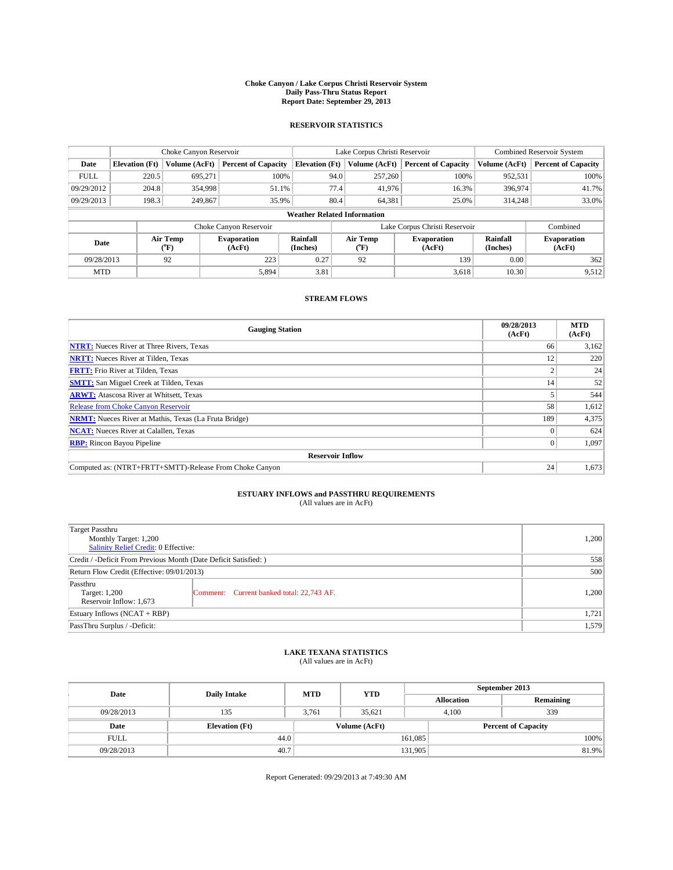### **Choke Canyon / Lake Corpus Christi Reservoir System Daily Pass-Thru Status Report Report Date: September 29, 2013**

### **RESERVOIR STATISTICS**

|             | Choke Canyon Reservoir             |                  | Lake Corpus Christi Reservoir |                       |      |                       | <b>Combined Reservoir System</b> |                      |                              |
|-------------|------------------------------------|------------------|-------------------------------|-----------------------|------|-----------------------|----------------------------------|----------------------|------------------------------|
| Date        | <b>Elevation</b> (Ft)              | Volume (AcFt)    | <b>Percent of Capacity</b>    | <b>Elevation (Ft)</b> |      | Volume (AcFt)         | <b>Percent of Capacity</b>       | Volume (AcFt)        | <b>Percent of Capacity</b>   |
| <b>FULL</b> | 220.5                              | 695.271          | 100%                          |                       | 94.0 | 257,260               | 100%                             | 952,531              | 100%                         |
| 09/29/2012  | 204.8                              | 354,998          | 51.1%                         |                       | 77.4 | 41,976                | 16.3%                            | 396,974              | 41.7%                        |
| 09/29/2013  | 198.3                              | 249,867          | 35.9%                         |                       | 80.4 | 64,381                | 25.0%                            | 314,248              | 33.0%                        |
|             | <b>Weather Related Information</b> |                  |                               |                       |      |                       |                                  |                      |                              |
|             |                                    |                  | Choke Canyon Reservoir        |                       |      |                       | Lake Corpus Christi Reservoir    |                      | Combined                     |
| Date        |                                    | Air Temp<br>(°F) | <b>Evaporation</b><br>(AcFt)  | Rainfall<br>(Inches)  |      | Air Temp<br>$(^{0}F)$ | <b>Evaporation</b><br>(AcFt)     | Rainfall<br>(Inches) | <b>Evaporation</b><br>(AcFt) |
| 09/28/2013  | 92<br>223                          |                  | 0.27                          |                       | 92   | 139                   | 0.00                             | 362                  |                              |
| <b>MTD</b>  |                                    |                  | 5,894                         | 3.81                  |      |                       | 3,618                            | 10.30                | 9,512                        |

## **STREAM FLOWS**

| <b>Gauging Station</b>                                       | 09/28/2013<br>(AcFt) | <b>MTD</b><br>(AcFt) |  |  |  |  |
|--------------------------------------------------------------|----------------------|----------------------|--|--|--|--|
| <b>NTRT:</b> Nueces River at Three Rivers, Texas             | 66                   | 3,162                |  |  |  |  |
| <b>NRTT:</b> Nueces River at Tilden, Texas                   | 12                   | 220                  |  |  |  |  |
| <b>FRTT:</b> Frio River at Tilden, Texas                     |                      | 24                   |  |  |  |  |
| <b>SMTT:</b> San Miguel Creek at Tilden, Texas               | 14                   | 52                   |  |  |  |  |
| <b>ARWT:</b> Atascosa River at Whitsett, Texas               |                      | 544                  |  |  |  |  |
| Release from Choke Canyon Reservoir                          | 58                   | 1,612                |  |  |  |  |
| <b>NRMT:</b> Nueces River at Mathis, Texas (La Fruta Bridge) | 189                  | 4,375                |  |  |  |  |
| <b>NCAT:</b> Nueces River at Calallen, Texas                 |                      | 624                  |  |  |  |  |
| <b>RBP:</b> Rincon Bayou Pipeline                            | $\Omega$             | 1,097                |  |  |  |  |
| <b>Reservoir Inflow</b>                                      |                      |                      |  |  |  |  |
| Computed as: (NTRT+FRTT+SMTT)-Release From Choke Canyon      | 24                   | 1,673                |  |  |  |  |

# **ESTUARY INFLOWS and PASSTHRU REQUIREMENTS**<br>(All values are in AcFt)

| <b>Target Passthru</b><br>Monthly Target: 1,200<br>Salinity Relief Credit: 0 Effective: | 1,200                                     |       |  |  |
|-----------------------------------------------------------------------------------------|-------------------------------------------|-------|--|--|
| Credit / -Deficit From Previous Month (Date Deficit Satisfied: )                        |                                           |       |  |  |
| Return Flow Credit (Effective: 09/01/2013)                                              |                                           |       |  |  |
| Passthru<br>Target: 1,200<br>Reservoir Inflow: 1,673                                    | Comment: Current banked total: 22,743 AF. | 1,200 |  |  |
| Estuary Inflows $(NCAT + RBP)$                                                          |                                           |       |  |  |
| PassThru Surplus / -Deficit:                                                            | 1,579                                     |       |  |  |

# **LAKE TEXANA STATISTICS** (All values are in AcFt)

| Date        | <b>Daily Intake</b>   | <b>MTD</b> | <b>YTD</b>    | September 2013    |                            |           |  |
|-------------|-----------------------|------------|---------------|-------------------|----------------------------|-----------|--|
|             |                       |            |               | <b>Allocation</b> |                            | Remaining |  |
| 09/28/2013  | 135                   | 3.761      | 35.621        |                   | 339<br>4.100               |           |  |
| Date        | <b>Elevation</b> (Ft) |            | Volume (AcFt) |                   | <b>Percent of Capacity</b> |           |  |
| <b>FULL</b> | 44.0                  |            |               | 161,085           |                            | 100%      |  |
| 09/28/2013  | 40.7                  |            |               | 131,905           |                            | 81.9%     |  |

Report Generated: 09/29/2013 at 7:49:30 AM